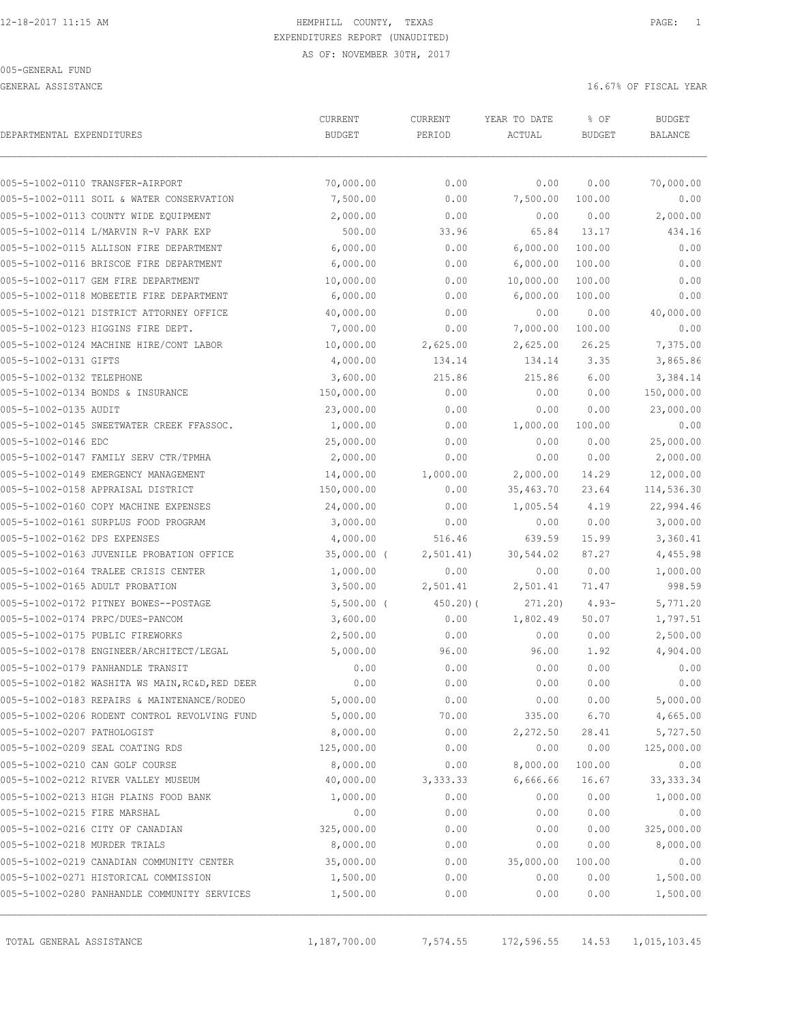005-GENERAL FUND

GENERAL ASSISTANCE THE SERVICE OF TISCAL YEAR OF FISCAL YEAR OF TISCAL YEAR OF TISCAL YEAR OF THE SAME OF THE SAME OF THE SAME OF THE SAME OF THE SAME OF THE SAME OF THE SAME OF THE SAME OF THE SAME OF THE SAME OF THE SAME

| DEPARTMENTAL EXPENDITURES     |                                                 | CURRENT<br><b>BUDGET</b> | CURRENT<br>PERIOD | YEAR TO DATE<br>ACTUAL | % OF<br><b>BUDGET</b> | <b>BUDGET</b><br>BALANCE |
|-------------------------------|-------------------------------------------------|--------------------------|-------------------|------------------------|-----------------------|--------------------------|
|                               | 005-5-1002-0110 TRANSFER-AIRPORT                | 70,000.00                | 0.00              | 0.00                   | 0.00                  | 70,000.00                |
|                               | 005-5-1002-0111 SOIL & WATER CONSERVATION       | 7,500.00                 | 0.00              | 7,500.00               | 100.00                | 0.00                     |
|                               | 005-5-1002-0113 COUNTY WIDE EQUIPMENT           | 2,000.00                 | 0.00              | 0.00                   | 0.00                  | 2,000.00                 |
|                               | 005-5-1002-0114 L/MARVIN R-V PARK EXP           | 500.00                   | 33.96             | 65.84                  | 13.17                 | 434.16                   |
|                               | 005-5-1002-0115 ALLISON FIRE DEPARTMENT         | 6,000.00                 | 0.00              | 6,000.00               | 100.00                | 0.00                     |
|                               | 005-5-1002-0116 BRISCOE FIRE DEPARTMENT         | 6,000.00                 | 0.00              | 6,000.00               | 100.00                | 0.00                     |
|                               | 005-5-1002-0117 GEM FIRE DEPARTMENT             | 10,000.00                | 0.00              | 10,000.00              | 100.00                | 0.00                     |
|                               | 005-5-1002-0118 MOBEETIE FIRE DEPARTMENT        | 6,000.00                 | 0.00              | 6,000.00               | 100.00                | 0.00                     |
|                               | 005-5-1002-0121 DISTRICT ATTORNEY OFFICE        | 40,000.00                | 0.00              | 0.00                   | 0.00                  | 40,000.00                |
|                               | 005-5-1002-0123 HIGGINS FIRE DEPT.              | 7,000.00                 | 0.00              | 7,000.00               | 100.00                | 0.00                     |
|                               | 005-5-1002-0124 MACHINE HIRE/CONT LABOR         | 10,000.00                | 2,625.00          | 2,625.00               | 26.25                 | 7,375.00                 |
| 005-5-1002-0131 GIFTS         |                                                 | 4,000.00                 | 134.14            | 134.14                 | 3.35                  | 3,865.86                 |
| 005-5-1002-0132 TELEPHONE     |                                                 | 3,600.00                 | 215.86            | 215.86                 | 6.00                  | 3,384.14                 |
|                               | 005-5-1002-0134 BONDS & INSURANCE               | 150,000.00               | 0.00              | 0.00                   | 0.00                  | 150,000.00               |
| 005-5-1002-0135 AUDIT         |                                                 | 23,000.00                | 0.00              | 0.00                   | 0.00                  | 23,000.00                |
|                               | 005-5-1002-0145 SWEETWATER CREEK FFASSOC.       | 1,000.00                 | 0.00              | 1,000.00               | 100.00                | 0.00                     |
| 005-5-1002-0146 EDC           |                                                 | 25,000.00                | 0.00              | 0.00                   | 0.00                  | 25,000.00                |
|                               | 005-5-1002-0147 FAMILY SERV CTR/TPMHA           | 2,000.00                 | 0.00              | 0.00                   | 0.00                  | 2,000.00                 |
|                               | 005-5-1002-0149 EMERGENCY MANAGEMENT            | 14,000.00                | 1,000.00          | 2,000.00               | 14.29                 | 12,000.00                |
|                               | 005-5-1002-0158 APPRAISAL DISTRICT              | 150,000.00               | 0.00              | 35,463.70              | 23.64                 | 114,536.30               |
|                               | 005-5-1002-0160 COPY MACHINE EXPENSES           | 24,000.00                | 0.00              | 1,005.54               | 4.19                  | 22,994.46                |
|                               | 005-5-1002-0161 SURPLUS FOOD PROGRAM            | 3,000.00                 | 0.00              | 0.00                   | 0.00                  | 3,000.00                 |
| 005-5-1002-0162 DPS EXPENSES  |                                                 | 4,000.00                 | 516.46            | 639.59                 | 15.99                 | 3,360.41                 |
|                               | 005-5-1002-0163 JUVENILE PROBATION OFFICE       | $35,000.00$ (            | 2,501.41)         | 30,544.02              | 87.27                 | 4,455.98                 |
|                               | 005-5-1002-0164 TRALEE CRISIS CENTER            | 1,000.00                 | 0.00              | 0.00                   | 0.00                  | 1,000.00                 |
|                               | 005-5-1002-0165 ADULT PROBATION                 | 3,500.00                 | 2,501.41          | 2,501.41               | 71.47                 | 998.59                   |
|                               | 005-5-1002-0172 PITNEY BOWES--POSTAGE           | $5,500.00$ (             | $450.20$ ) (      | 271.20)                | $4.93-$               | 5,771.20                 |
|                               | 005-5-1002-0174 PRPC/DUES-PANCOM                | 3,600.00                 | 0.00              | 1,802.49               | 50.07                 | 1,797.51                 |
|                               | 005-5-1002-0175 PUBLIC FIREWORKS                | 2,500.00                 | 0.00              | 0.00                   | 0.00                  | 2,500.00                 |
|                               | 005-5-1002-0178 ENGINEER/ARCHITECT/LEGAL        | 5,000.00                 | 96.00             | 96.00                  | 1.92                  | 4,904.00                 |
|                               | 005-5-1002-0179 PANHANDLE TRANSIT               | 0.00                     | 0.00              | 0.00                   | 0.00                  | 0.00                     |
|                               | 005-5-1002-0182 WASHITA WS MAIN, RC&D, RED DEER | 0.00                     | 0.00              | 0.00                   | 0.00                  | 0.00                     |
|                               | 005-5-1002-0183 REPAIRS & MAINTENANCE/RODEO     | 5,000.00                 | 0.00              | 0.00                   | 0.00                  | 5,000.00                 |
|                               | 005-5-1002-0206 RODENT CONTROL REVOLVING FUND   | 5,000.00                 | 70.00             | 335.00                 | 6.70                  | 4,665.00                 |
| 005-5-1002-0207 PATHOLOGIST   |                                                 | 8,000.00                 | 0.00              | 2,272.50               | 28.41                 | 5,727.50                 |
|                               | 005-5-1002-0209 SEAL COATING RDS                | 125,000.00               | 0.00              | 0.00                   | 0.00                  | 125,000.00               |
|                               | 005-5-1002-0210 CAN GOLF COURSE                 | 8,000.00                 | 0.00              | 8,000.00               | 100.00                | 0.00                     |
|                               | 005-5-1002-0212 RIVER VALLEY MUSEUM             | 40,000.00                | 3,333.33          | 6,666.66               | 16.67                 | 33, 333.34               |
|                               | 005-5-1002-0213 HIGH PLAINS FOOD BANK           | 1,000.00                 | 0.00              | 0.00                   | 0.00                  | 1,000.00                 |
| 005-5-1002-0215 FIRE MARSHAL  |                                                 | 0.00                     | 0.00              | 0.00                   | 0.00                  | 0.00                     |
|                               | 005-5-1002-0216 CITY OF CANADIAN                | 325,000.00               | 0.00              | 0.00                   | 0.00                  | 325,000.00               |
| 005-5-1002-0218 MURDER TRIALS |                                                 | 8,000.00                 | 0.00              | 0.00                   | 0.00                  | 8,000.00                 |
|                               | 005-5-1002-0219 CANADIAN COMMUNITY CENTER       | 35,000.00                | 0.00              | 35,000.00              | 100.00                | 0.00                     |
|                               | 005-5-1002-0271 HISTORICAL COMMISSION           | 1,500.00                 | 0.00              | 0.00                   | 0.00                  | 1,500.00                 |
|                               | 005-5-1002-0280 PANHANDLE COMMUNITY SERVICES    | 1,500.00                 | 0.00              | 0.00                   | 0.00                  | 1,500.00                 |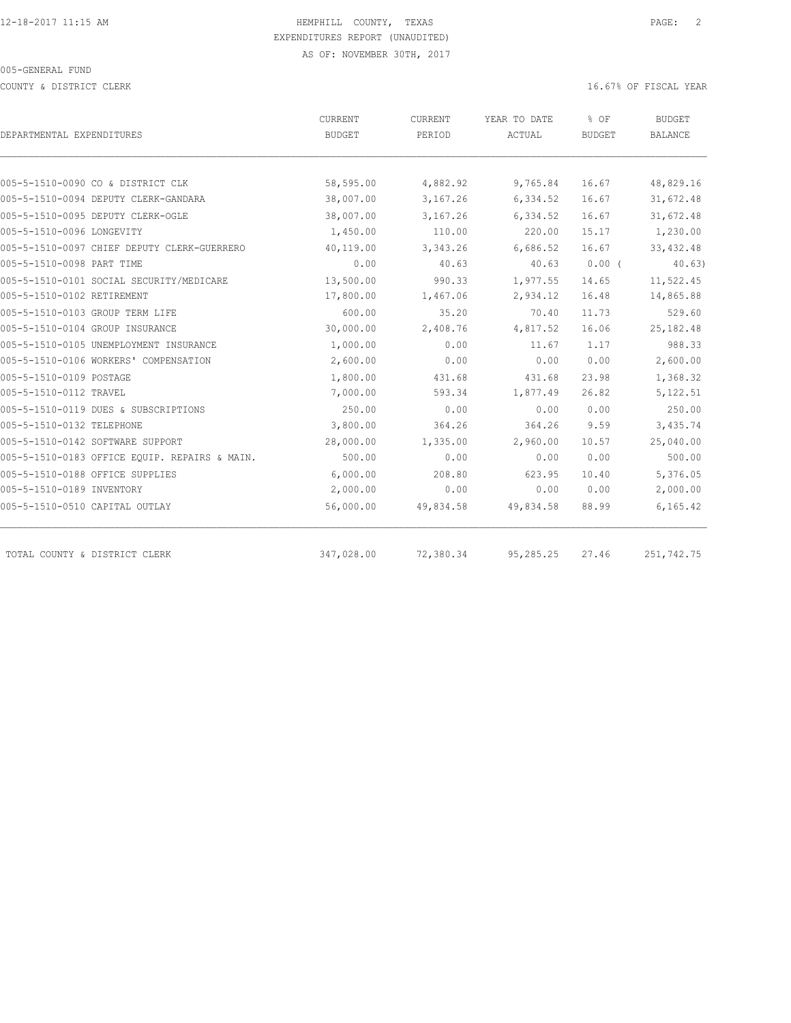COUNTY & DISTRICT CLERK 16.67% OF FISCAL YEAR

|                                               | <b>CURRENT</b> | CURRENT   | YEAR TO DATE | % OF          | <b>BUDGET</b>  |  |
|-----------------------------------------------|----------------|-----------|--------------|---------------|----------------|--|
| DEPARTMENTAL EXPENDITURES                     | BUDGET         | PERIOD    | ACTUAL       | <b>BUDGET</b> | <b>BALANCE</b> |  |
|                                               |                |           |              |               |                |  |
| 005-5-1510-0090 CO & DISTRICT CLK             | 58,595.00      | 4,882.92  | 9,765.84     | 16.67         | 48,829.16      |  |
| 005-5-1510-0094 DEPUTY CLERK-GANDARA          | 38,007.00      | 3,167.26  | 6,334.52     | 16.67         | 31,672.48      |  |
| 005-5-1510-0095 DEPUTY CLERK-OGLE             | 38,007.00      | 3,167.26  | 6,334.52     | 16.67         | 31,672.48      |  |
| 005-5-1510-0096 LONGEVITY                     | 1,450.00       | 110.00    | 220.00       | 15.17         | 1,230.00       |  |
| 005-5-1510-0097 CHIEF DEPUTY CLERK-GUERRERO   | 40,119.00      | 3,343.26  | 6,686.52     | 16.67         | 33, 432.48     |  |
| 005-5-1510-0098 PART TIME                     | 0.00           | 40.63     | 40.63        | $0.00$ (      | 40.63)         |  |
| 005-5-1510-0101 SOCIAL SECURITY/MEDICARE      | 13,500.00      | 990.33    | 1,977.55     | 14.65         | 11,522.45      |  |
| 005-5-1510-0102 RETIREMENT                    | 17,800.00      | 1,467.06  | 2,934.12     | 16.48         | 14,865.88      |  |
| 005-5-1510-0103 GROUP TERM LIFE               | 600.00         | 35.20     | 70.40        | 11.73         | 529.60         |  |
| 005-5-1510-0104 GROUP INSURANCE               | 30,000.00      | 2,408.76  | 4,817.52     | 16.06         | 25, 182.48     |  |
| 005-5-1510-0105 UNEMPLOYMENT INSURANCE        | 1,000.00       | 0.00      | 11.67        | 1.17          | 988.33         |  |
| 005-5-1510-0106 WORKERS' COMPENSATION         | 2,600.00       | 0.00      | 0.00         | 0.00          | 2,600.00       |  |
| 005-5-1510-0109 POSTAGE                       | 1,800.00       | 431.68    | 431.68       | 23.98         | 1,368.32       |  |
| 005-5-1510-0112 TRAVEL                        | 7,000.00       | 593.34    | 1,877.49     | 26.82         | 5,122.51       |  |
| 005-5-1510-0119 DUES & SUBSCRIPTIONS          | 250.00         | 0.00      | 0.00         | 0.00          | 250.00         |  |
| 005-5-1510-0132 TELEPHONE                     | 3,800.00       | 364.26    | 364.26       | 9.59          | 3,435.74       |  |
| 005-5-1510-0142 SOFTWARE SUPPORT              | 28,000.00      | 1,335.00  | 2,960.00     | 10.57         | 25,040.00      |  |
| 005-5-1510-0183 OFFICE EOUIP. REPAIRS & MAIN. | 500.00         | 0.00      | 0.00         | 0.00          | 500.00         |  |
| 005-5-1510-0188 OFFICE SUPPLIES               | 6,000.00       | 208.80    | 623.95       | 10.40         | 5,376.05       |  |
| 005-5-1510-0189 INVENTORY                     | 2,000.00       | 0.00      | 0.00         | 0.00          | 2,000.00       |  |
| 005-5-1510-0510 CAPITAL OUTLAY                | 56,000.00      | 49,834.58 | 49,834.58    | 88.99         | 6,165.42       |  |
|                                               |                |           |              |               |                |  |
| TOTAL COUNTY & DISTRICT CLERK                 | 347,028.00     | 72,380.34 | 95,285.25    | 27.46         | 251,742.75     |  |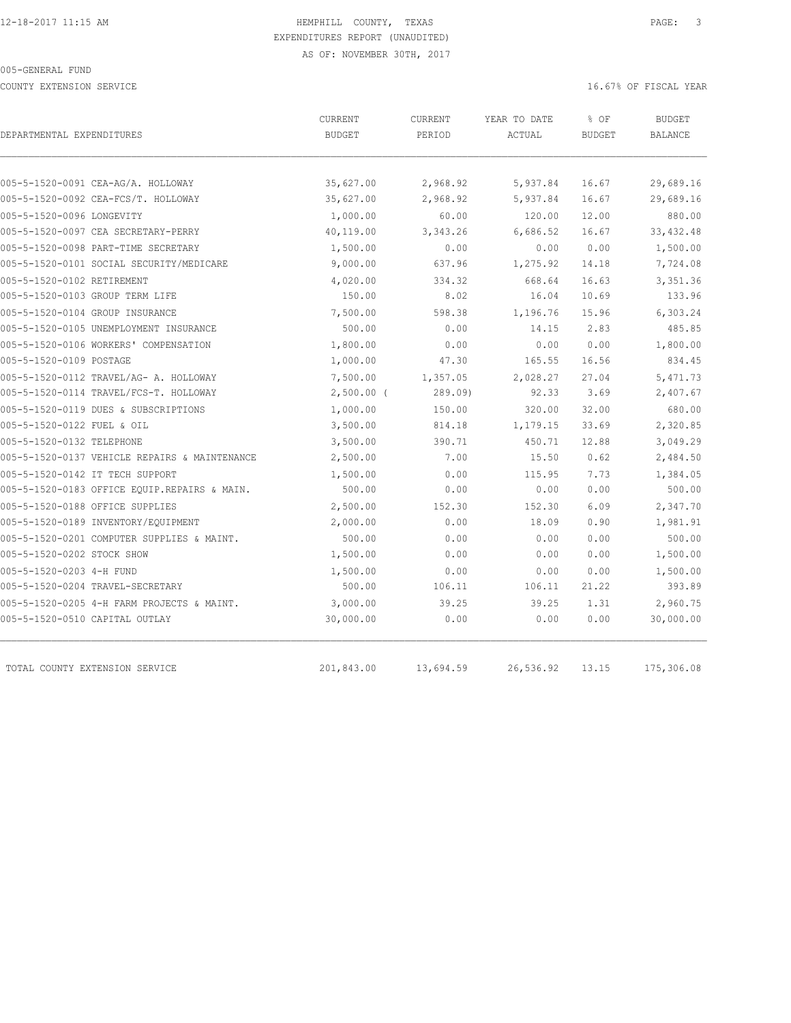COUNTY EXTENSION SERVICE **EXECUTE 16.67%** OF FISCAL YEAR

| DEPARTMENTAL EXPENDITURES                     | CURRENT<br><b>BUDGET</b> | CURRENT<br>PERIOD | YEAR TO DATE<br>ACTUAL | % OF<br><b>BUDGET</b> | <b>BUDGET</b><br><b>BALANCE</b> |
|-----------------------------------------------|--------------------------|-------------------|------------------------|-----------------------|---------------------------------|
|                                               |                          |                   |                        |                       |                                 |
| 005-5-1520-0091 CEA-AG/A. HOLLOWAY            | 35,627.00                | 2,968.92          | 5,937.84               | 16.67                 | 29,689.16                       |
| 005-5-1520-0092 CEA-FCS/T. HOLLOWAY           | 35,627.00                | 2,968.92          | 5,937.84               | 16.67                 | 29,689.16                       |
| 005-5-1520-0096 LONGEVITY                     | 1,000.00                 | 60.00             | 120.00                 | 12.00                 | 880.00                          |
| 005-5-1520-0097 CEA SECRETARY-PERRY           | 40,119.00                | 3,343.26          | 6,686.52               | 16.67                 | 33, 432.48                      |
| 005-5-1520-0098 PART-TIME SECRETARY           | 1,500.00                 | 0.00              | 0.00                   | 0.00                  | 1,500.00                        |
| 005-5-1520-0101 SOCIAL SECURITY/MEDICARE      | 9,000.00                 | 637.96            | 1,275.92               | 14.18                 | 7,724.08                        |
| 005-5-1520-0102 RETIREMENT                    | 4,020.00                 | 334.32            | 668.64                 | 16.63                 | 3,351.36                        |
| 005-5-1520-0103 GROUP TERM LIFE               | 150.00                   | 8.02              | 16.04                  | 10.69                 | 133.96                          |
| 005-5-1520-0104 GROUP INSURANCE               | 7,500.00                 | 598.38            | 1,196.76               | 15.96                 | 6,303.24                        |
| 005-5-1520-0105 UNEMPLOYMENT INSURANCE        | 500.00                   | 0.00              | 14.15                  | 2.83                  | 485.85                          |
| 005-5-1520-0106 WORKERS' COMPENSATION         | 1,800.00                 | 0.00              | 0.00                   | 0.00                  | 1,800.00                        |
| 005-5-1520-0109 POSTAGE                       | 1,000.00                 | 47.30             | 165.55                 | 16.56                 | 834.45                          |
| 005-5-1520-0112 TRAVEL/AG- A. HOLLOWAY        | 7,500.00                 | 1,357.05          | 2,028.27               | 27.04                 | 5,471.73                        |
| 005-5-1520-0114 TRAVEL/FCS-T. HOLLOWAY        | $2,500.00$ (             | 289.09            | 92.33                  | 3.69                  | 2,407.67                        |
| 005-5-1520-0119 DUES & SUBSCRIPTIONS          | 1,000.00                 | 150.00            | 320.00                 | 32.00                 | 680.00                          |
| 005-5-1520-0122 FUEL & OIL                    | 3,500.00                 | 814.18            | 1,179.15               | 33.69                 | 2,320.85                        |
| 005-5-1520-0132 TELEPHONE                     | 3,500.00                 | 390.71            | 450.71                 | 12.88                 | 3,049.29                        |
| 005-5-1520-0137 VEHICLE REPAIRS & MAINTENANCE | 2,500.00                 | 7.00              | 15.50                  | 0.62                  | 2,484.50                        |
| 005-5-1520-0142 IT TECH SUPPORT               | 1,500.00                 | 0.00              | 115.95                 | 7.73                  | 1,384.05                        |
| 005-5-1520-0183 OFFICE EOUIP.REPAIRS & MAIN.  | 500.00                   | 0.00              | 0.00                   | 0.00                  | 500.00                          |
| 005-5-1520-0188 OFFICE SUPPLIES               | 2,500.00                 | 152.30            | 152.30                 | 6.09                  | 2,347.70                        |
| 005-5-1520-0189 INVENTORY/EQUIPMENT           | 2,000.00                 | 0.00              | 18.09                  | 0.90                  | 1,981.91                        |
| 005-5-1520-0201 COMPUTER SUPPLIES & MAINT.    | 500.00                   | 0.00              | 0.00                   | 0.00                  | 500.00                          |
| 005-5-1520-0202 STOCK SHOW                    | 1,500.00                 | 0.00              | 0.00                   | 0.00                  | 1,500.00                        |
| 005-5-1520-0203 4-H FUND                      | 1,500.00                 | 0.00              | 0.00                   | 0.00                  | 1,500.00                        |
| 005-5-1520-0204 TRAVEL-SECRETARY              | 500.00                   | 106.11            | 106.11                 | 21.22                 | 393.89                          |
| 005-5-1520-0205 4-H FARM PROJECTS & MAINT.    | 3,000.00                 | 39.25             | 39.25                  | 1.31                  | 2,960.75                        |
| 005-5-1520-0510 CAPITAL OUTLAY                | 30,000.00                | 0.00              | 0.00                   | 0.00                  | 30,000.00                       |
| TOTAL COUNTY EXTENSION SERVICE                | 201,843.00               | 13,694.59         | 26,536.92              | 13.15                 | 175,306.08                      |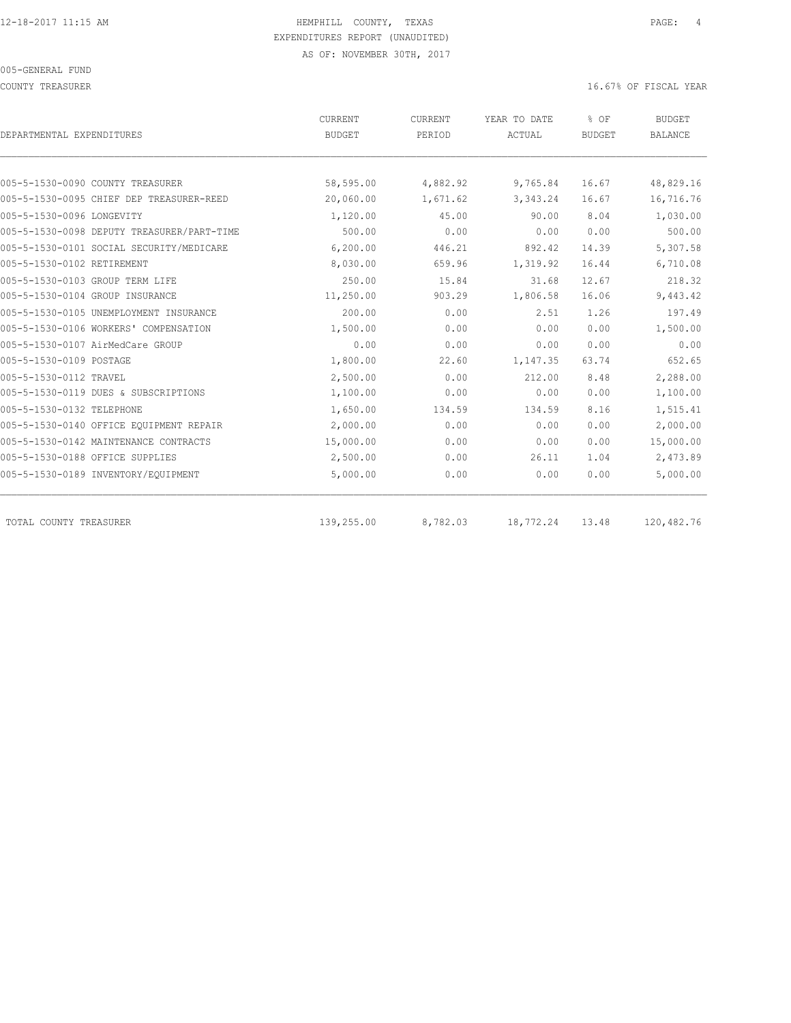COUNTY TREASURER **16.67%** OF FISCAL YEAR

| DEPARTMENTAL EXPENDITURES                  | <b>CURRENT</b><br><b>BUDGET</b> | <b>CURRENT</b><br>PERIOD | YEAR TO DATE<br>ACTUAL | % OF<br><b>BUDGET</b> | <b>BUDGET</b><br><b>BALANCE</b> |
|--------------------------------------------|---------------------------------|--------------------------|------------------------|-----------------------|---------------------------------|
|                                            |                                 |                          |                        |                       |                                 |
| 005-5-1530-0090 COUNTY TREASURER           | 58,595.00                       | 4,882.92                 | 9,765.84               | 16.67                 | 48,829.16                       |
| 005-5-1530-0095 CHIEF DEP TREASURER-REED   | 20,060.00                       | 1,671.62                 | 3, 343.24              | 16.67                 | 16,716.76                       |
| 005-5-1530-0096 LONGEVITY                  | 1,120.00                        | 45.00                    | 90.00                  | 8.04                  | 1,030.00                        |
| 005-5-1530-0098 DEPUTY TREASURER/PART-TIME | 500.00                          | 0.00                     | 0.00                   | 0.00                  | 500.00                          |
| 005-5-1530-0101 SOCIAL SECURITY/MEDICARE   | 6,200.00                        | 446.21                   | 892.42                 | 14.39                 | 5,307.58                        |
| 005-5-1530-0102 RETIREMENT                 | 8,030.00                        | 659.96                   | 1,319.92               | 16.44                 | 6,710.08                        |
| 005-5-1530-0103 GROUP TERM LIFE            | 250.00                          | 15.84                    | 31.68                  | 12.67                 | 218.32                          |
| 005-5-1530-0104 GROUP INSURANCE            | 11,250.00                       | 903.29                   | 1,806.58               | 16.06                 | 9,443.42                        |
| 005-5-1530-0105 UNEMPLOYMENT INSURANCE     | 200.00                          | 0.00                     | 2.51                   | 1.26                  | 197.49                          |
| 005-5-1530-0106 WORKERS' COMPENSATION      | 1,500.00                        | 0.00                     | 0.00                   | 0.00                  | 1,500.00                        |
| 005-5-1530-0107 AirMedCare GROUP           | 0.00                            | 0.00                     | 0.00                   | 0.00                  | 0.00                            |
| 005-5-1530-0109 POSTAGE                    | 1,800.00                        | 22.60                    | 1,147.35               | 63.74                 | 652.65                          |
| 005-5-1530-0112 TRAVEL                     | 2,500.00                        | 0.00                     | 212.00                 | 8.48                  | 2,288.00                        |
| 005-5-1530-0119 DUES & SUBSCRIPTIONS       | 1,100.00                        | 0.00                     | 0.00                   | 0.00                  | 1,100.00                        |
| 005-5-1530-0132 TELEPHONE                  | 1,650.00                        | 134.59                   | 134.59                 | 8.16                  | 1,515.41                        |
| 005-5-1530-0140 OFFICE EQUIPMENT REPAIR    | 2,000.00                        | 0.00                     | 0.00                   | 0.00                  | 2,000.00                        |
| 005-5-1530-0142 MAINTENANCE CONTRACTS      | 15,000.00                       | 0.00                     | 0.00                   | 0.00                  | 15,000.00                       |
| 005-5-1530-0188 OFFICE SUPPLIES            | 2,500.00                        | 0.00                     | 26.11                  | 1.04                  | 2,473.89                        |
| 005-5-1530-0189 INVENTORY/EQUIPMENT        | 5,000.00                        | 0.00                     | 0.00                   | 0.00                  | 5,000.00                        |
| TOTAL COUNTY TREASURER                     | 139,255.00                      | 8,782.03                 | 18,772.24              | 13.48                 | 120,482.76                      |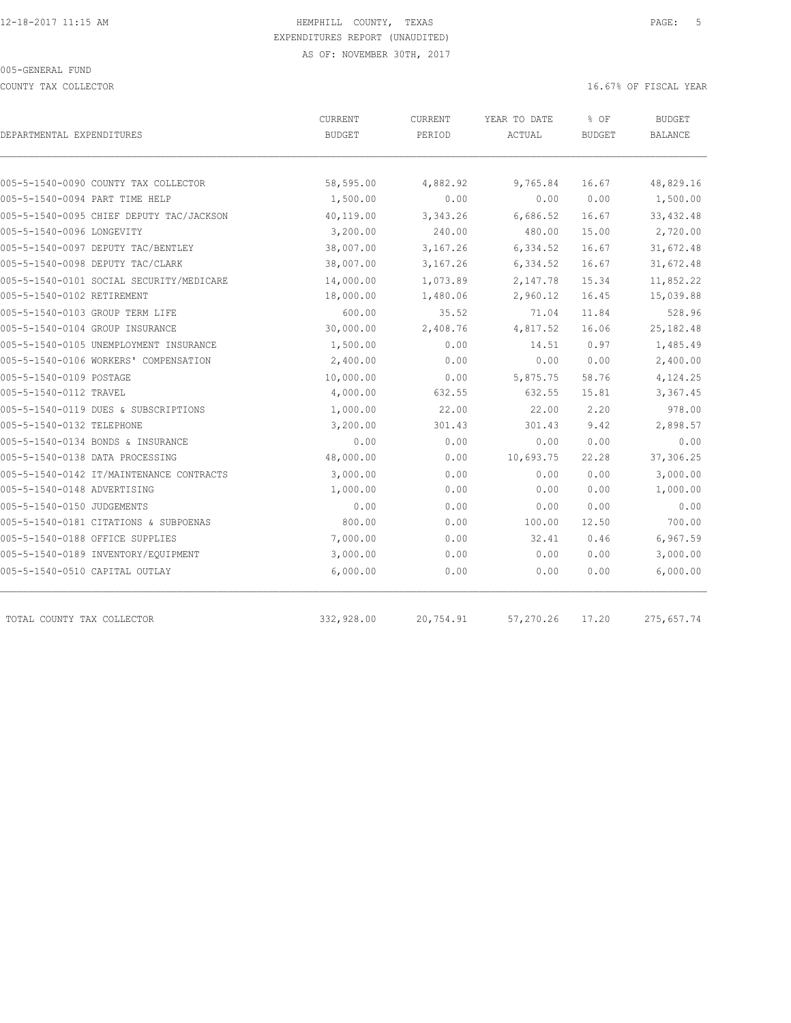COUNTY TAX COLLECTOR **Example 2008** 16.67% OF FISCAL YEAR

| DEPARTMENTAL EXPENDITURES                                              | <b>CURRENT</b><br><b>BUDGET</b> | <b>CURRENT</b><br>PERIOD | YEAR TO DATE<br>ACTUAL | % OF<br><b>BUDGET</b> | <b>BUDGET</b><br><b>BALANCE</b> |
|------------------------------------------------------------------------|---------------------------------|--------------------------|------------------------|-----------------------|---------------------------------|
|                                                                        |                                 |                          |                        | 16.67                 | 48,829.16                       |
| 005-5-1540-0090 COUNTY TAX COLLECTOR<br>005-5-1540-0094 PART TIME HELP | 58,595.00<br>1,500.00           | 4,882.92<br>0.00         | 9,765.84<br>0.00       | 0.00                  | 1,500.00                        |
| 005-5-1540-0095 CHIEF DEPUTY TAC/JACKSON                               |                                 |                          | 6,686.52               | 16.67                 | 33, 432.48                      |
| 005-5-1540-0096 LONGEVITY                                              | 40,119.00<br>3,200.00           | 3,343.26<br>240.00       | 480.00                 | 15.00                 | 2,720.00                        |
|                                                                        |                                 |                          |                        |                       |                                 |
| 005-5-1540-0097 DEPUTY TAC/BENTLEY                                     | 38,007.00                       | 3,167.26                 | 6,334.52               | 16.67                 | 31,672.48                       |
| 005-5-1540-0098 DEPUTY TAC/CLARK                                       | 38,007.00                       | 3,167.26                 | 6,334.52               | 16.67                 | 31,672.48                       |
| 005-5-1540-0101 SOCIAL SECURITY/MEDICARE                               | 14,000.00                       | 1,073.89                 | 2,147.78               | 15.34                 | 11,852.22                       |
| 005-5-1540-0102 RETIREMENT                                             | 18,000.00                       | 1,480.06                 | 2,960.12               | 16.45                 | 15,039.88                       |
| 005-5-1540-0103 GROUP TERM LIFE                                        | 600.00                          | 35.52                    | 71.04                  | 11.84                 | 528.96                          |
| 005-5-1540-0104 GROUP INSURANCE                                        | 30,000.00                       | 2,408.76                 | 4,817.52               | 16.06                 | 25,182.48                       |
| 005-5-1540-0105 UNEMPLOYMENT INSURANCE                                 | 1,500.00                        | 0.00                     | 14.51                  | 0.97                  | 1,485.49                        |
| 005-5-1540-0106 WORKERS' COMPENSATION                                  | 2,400.00                        | 0.00                     | 0.00                   | 0.00                  | 2,400.00                        |
| 005-5-1540-0109 POSTAGE                                                | 10,000.00                       | 0.00                     | 5,875.75               | 58.76                 | 4,124.25                        |
| 005-5-1540-0112 TRAVEL                                                 | 4,000.00                        | 632.55                   | 632.55                 | 15.81                 | 3,367.45                        |
| 005-5-1540-0119 DUES & SUBSCRIPTIONS                                   | 1,000.00                        | 22.00                    | 22.00                  | 2.20                  | 978.00                          |
| 005-5-1540-0132 TELEPHONE                                              | 3,200.00                        | 301.43                   | 301.43                 | 9.42                  | 2,898.57                        |
| 005-5-1540-0134 BONDS & INSURANCE                                      | 0.00                            | 0.00                     | 0.00                   | 0.00                  | 0.00                            |
| 005-5-1540-0138 DATA PROCESSING                                        | 48,000.00                       | 0.00                     | 10,693.75              | 22.28                 | 37,306.25                       |
| 005-5-1540-0142 IT/MAINTENANCE CONTRACTS                               | 3,000.00                        | 0.00                     | 0.00                   | 0.00                  | 3,000.00                        |
| 005-5-1540-0148 ADVERTISING                                            | 1,000.00                        | 0.00                     | 0.00                   | 0.00                  | 1,000.00                        |
| 005-5-1540-0150 JUDGEMENTS                                             | 0.00                            | 0.00                     | 0.00                   | 0.00                  | 0.00                            |
| 005-5-1540-0181 CITATIONS & SUBPOENAS                                  | 800.00                          | 0.00                     | 100.00                 | 12.50                 | 700.00                          |
| 005-5-1540-0188 OFFICE SUPPLIES                                        | 7,000.00                        | 0.00                     | 32.41                  | 0.46                  | 6,967.59                        |
| 005-5-1540-0189 INVENTORY/EQUIPMENT                                    | 3,000.00                        | 0.00                     | 0.00                   | 0.00                  | 3,000.00                        |
| 005-5-1540-0510 CAPITAL OUTLAY                                         | 6,000.00                        | 0.00                     | 0.00                   | 0.00                  | 6,000.00                        |
| TOTAL COUNTY TAX COLLECTOR                                             | 332,928.00                      | 20,754.91                | 57,270.26              | 17.20                 | 275,657.74                      |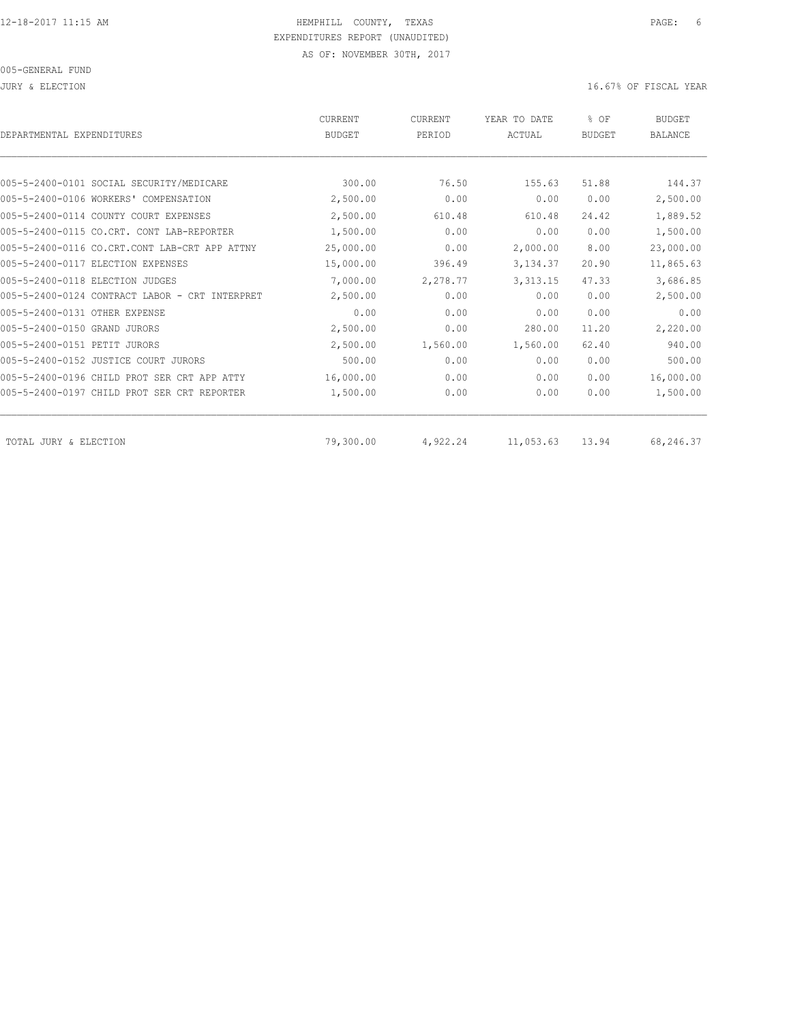| DEPARTMENTAL EXPENDITURES                      | CURRENT<br><b>BUDGET</b> | <b>CURRENT</b><br>PERIOD | YEAR TO DATE<br>ACTUAL | % OF<br><b>BUDGET</b> | <b>BUDGET</b><br><b>BALANCE</b> |
|------------------------------------------------|--------------------------|--------------------------|------------------------|-----------------------|---------------------------------|
|                                                |                          |                          |                        |                       |                                 |
| 005-5-2400-0101 SOCIAL SECURITY/MEDICARE       | 300.00                   | 76.50                    | 155.63                 | 51.88                 | 144.37                          |
| 005-5-2400-0106 WORKERS' COMPENSATION          | 2,500.00                 | 0.00                     | 0.00                   | 0.00                  | 2,500.00                        |
| 005-5-2400-0114 COUNTY COURT EXPENSES          | 2,500.00                 | 610.48                   | 610.48                 | 24.42                 | 1,889.52                        |
| 005-5-2400-0115 CO.CRT. CONT LAB-REPORTER      | 1,500.00                 | 0.00                     | 0.00                   | 0.00                  | 1,500.00                        |
| 005-5-2400-0116 CO.CRT.CONT LAB-CRT APP ATTNY  | 25,000.00                | 0.00                     | 2,000.00               | 8.00                  | 23,000.00                       |
| 005-5-2400-0117 ELECTION EXPENSES              | 15,000.00                | 396.49                   | 3, 134.37              | 20.90                 | 11,865.63                       |
| 005-5-2400-0118 ELECTION JUDGES                | 7,000.00                 | 2,278.77                 | 3, 313.15              | 47.33                 | 3,686.85                        |
| 005-5-2400-0124 CONTRACT LABOR - CRT INTERPRET | 2,500.00                 | 0.00                     | 0.00                   | 0.00                  | 2,500.00                        |
| 005-5-2400-0131 OTHER EXPENSE                  | 0.00                     | 0.00                     | 0.00                   | 0.00                  | 0.00                            |
| 005-5-2400-0150 GRAND JURORS                   | 2,500.00                 | 0.00                     | 280.00                 | 11.20                 | 2,220.00                        |
| 005-5-2400-0151 PETIT JURORS                   | 2,500.00                 | 1,560.00                 | 1,560.00               | 62.40                 | 940.00                          |
| 005-5-2400-0152 JUSTICE COURT JURORS           | 500.00                   | 0.00                     | 0.00                   | 0.00                  | 500.00                          |
| 005-5-2400-0196 CHILD PROT SER CRT APP ATTY    | 16,000.00                | 0.00                     | 0.00                   | 0.00                  | 16,000.00                       |
| 005-5-2400-0197 CHILD PROT SER CRT REPORTER    | 1,500.00                 | 0.00                     | 0.00                   | 0.00                  | 1,500.00                        |
| TOTAL JURY & ELECTION                          | 79,300.00                | 4,922.24                 | 11,053.63              | 13.94                 | 68,246.37                       |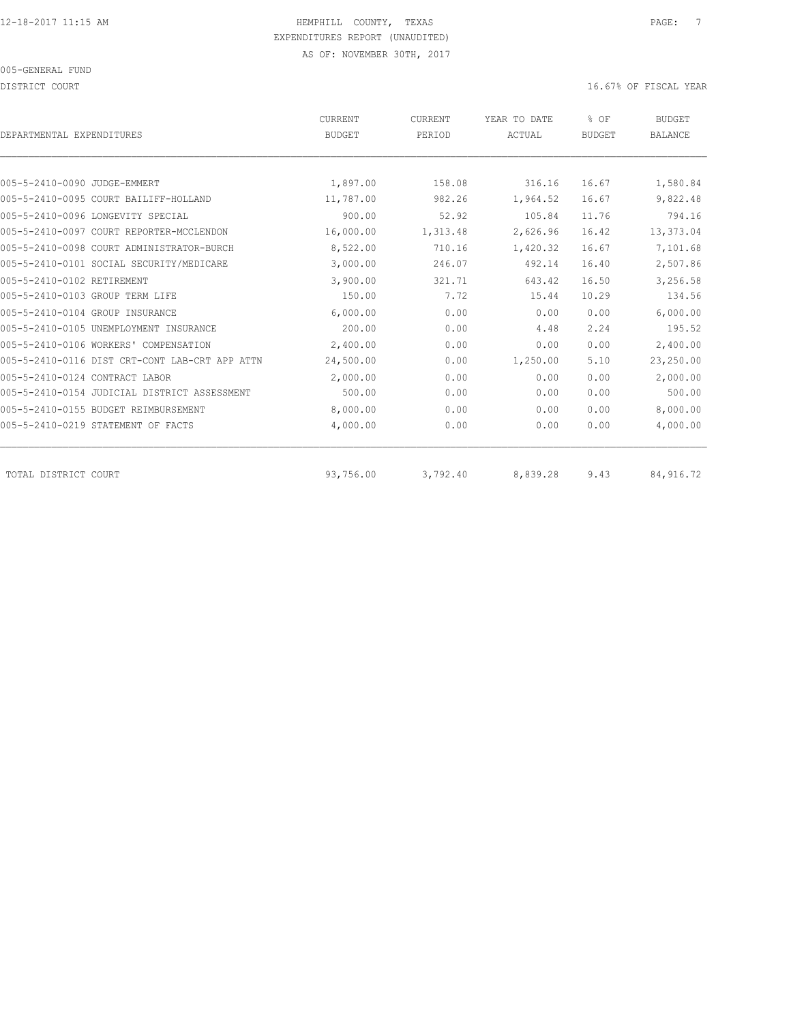DISTRICT COURT COURT COURT COURT COURT COURT COURT COURT COURT COURT COURT COURT COURT COURT COURT COURT COURT

| DEPARTMENTAL EXPENDITURES                      | <b>CURRENT</b><br><b>BUDGET</b> | CURRENT<br>PERIOD | YEAR TO DATE<br>ACTUAL | % OF<br><b>BUDGET</b> | <b>BUDGET</b><br><b>BALANCE</b> |
|------------------------------------------------|---------------------------------|-------------------|------------------------|-----------------------|---------------------------------|
|                                                |                                 |                   |                        |                       |                                 |
| 005-5-2410-0090 JUDGE-EMMERT                   | 1,897.00                        | 158.08            | 316.16                 | 16.67                 | 1,580.84                        |
| 005-5-2410-0095 COURT BAILIFF-HOLLAND          | 11,787.00                       | 982.26            | 1,964.52               | 16.67                 | 9,822.48                        |
| 005-5-2410-0096 LONGEVITY SPECIAL              | 900.00                          | 52.92             | 105.84                 | 11.76                 | 794.16                          |
| 005-5-2410-0097 COURT REPORTER-MCCLENDON       | 16,000.00                       | 1,313.48          | 2,626.96               | 16.42                 | 13,373.04                       |
| 005-5-2410-0098 COURT ADMINISTRATOR-BURCH      | 8,522.00                        | 710.16            | 1,420.32               | 16.67                 | 7,101.68                        |
| 005-5-2410-0101 SOCIAL SECURITY/MEDICARE       | 3,000.00                        | 246.07            | 492.14                 | 16.40                 | 2,507.86                        |
| 005-5-2410-0102 RETIREMENT                     | 3,900.00                        | 321.71            | 643.42                 | 16.50                 | 3,256.58                        |
| 005-5-2410-0103 GROUP TERM LIFE                | 150.00                          | 7.72              | 15.44                  | 10.29                 | 134.56                          |
| 005-5-2410-0104 GROUP INSURANCE                | 6,000.00                        | 0.00              | 0.00                   | 0.00                  | 6,000.00                        |
| 005-5-2410-0105 UNEMPLOYMENT INSURANCE         | 200.00                          | 0.00              | 4.48                   | 2.24                  | 195.52                          |
| 005-5-2410-0106 WORKERS' COMPENSATION          | 2,400.00                        | 0.00              | 0.00                   | 0.00                  | 2,400.00                        |
| 005-5-2410-0116 DIST CRT-CONT LAB-CRT APP ATTN | 24,500.00                       | 0.00              | 1,250.00               | 5.10                  | 23,250.00                       |
| 005-5-2410-0124 CONTRACT LABOR                 | 2,000.00                        | 0.00              | 0.00                   | 0.00                  | 2,000.00                        |
| 005-5-2410-0154 JUDICIAL DISTRICT ASSESSMENT   | 500.00                          | 0.00              | 0.00                   | 0.00                  | 500.00                          |
| 005-5-2410-0155 BUDGET REIMBURSEMENT           | 8,000.00                        | 0.00              | 0.00                   | 0.00                  | 8,000.00                        |
| 005-5-2410-0219 STATEMENT OF FACTS             | 4,000.00                        | 0.00              | 0.00                   | 0.00                  | 4,000.00                        |
| TOTAL DISTRICT COURT                           | 93,756.00                       | 3,792.40          | 8,839.28               | 9.43                  | 84,916.72                       |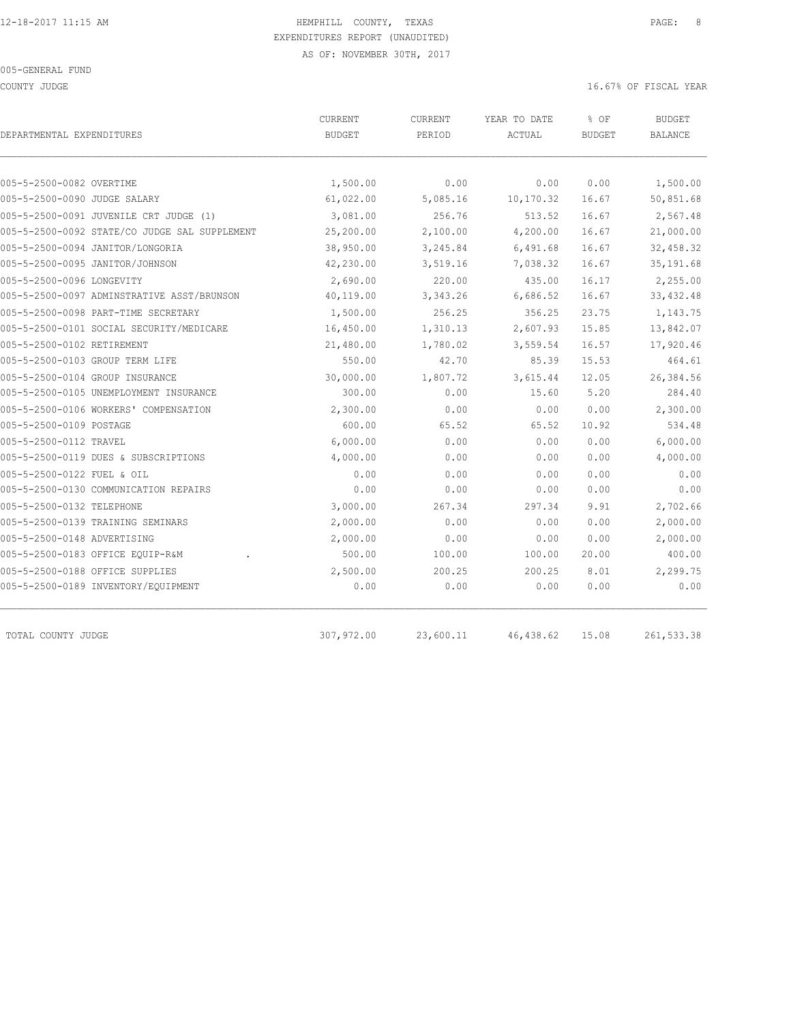COUNTY JUDGE 16.67% OF FISCAL YEAR

| DEPARTMENTAL EXPENDITURES                     | CURRENT<br><b>BUDGET</b> | CURRENT<br>PERIOD | YEAR TO DATE<br>ACTUAL | % OF<br><b>BUDGET</b> | <b>BUDGET</b><br><b>BALANCE</b> |
|-----------------------------------------------|--------------------------|-------------------|------------------------|-----------------------|---------------------------------|
|                                               |                          |                   |                        |                       |                                 |
| 005-5-2500-0082 OVERTIME                      | 1,500.00                 | 0.00              | 0.00                   | 0.00                  | 1,500.00                        |
| 005-5-2500-0090 JUDGE SALARY                  | 61,022.00                | 5,085.16          | 10,170.32              | 16.67                 | 50,851.68                       |
| 005-5-2500-0091 JUVENILE CRT JUDGE (1)        | 3,081.00                 | 256.76            | 513.52                 | 16.67                 | 2,567.48                        |
| 005-5-2500-0092 STATE/CO JUDGE SAL SUPPLEMENT | 25,200.00                | 2,100.00          | 4,200.00               | 16.67                 | 21,000.00                       |
| 005-5-2500-0094 JANITOR/LONGORIA              | 38,950.00                | 3,245.84          | 6,491.68               | 16.67                 | 32,458.32                       |
| 005-5-2500-0095 JANITOR/JOHNSON               | 42,230.00                | 3,519.16          | 7,038.32               | 16.67                 | 35, 191.68                      |
| 005-5-2500-0096 LONGEVITY                     | 2,690.00                 | 220.00            | 435.00                 | 16.17                 | 2,255.00                        |
| 005-5-2500-0097 ADMINSTRATIVE ASST/BRUNSON    | 40,119.00                | 3,343.26          | 6,686.52               | 16.67                 | 33, 432.48                      |
| 005-5-2500-0098 PART-TIME SECRETARY           | 1,500.00                 | 256.25            | 356.25                 | 23.75                 | 1,143.75                        |
| 005-5-2500-0101 SOCIAL SECURITY/MEDICARE      | 16,450.00                | 1,310.13          | 2,607.93               | 15.85                 | 13,842.07                       |
| 005-5-2500-0102 RETIREMENT                    | 21,480.00                | 1,780.02          | 3,559.54               | 16.57                 | 17,920.46                       |
| 005-5-2500-0103 GROUP TERM LIFE               | 550.00                   | 42.70             | 85.39                  | 15.53                 | 464.61                          |
| 005-5-2500-0104 GROUP INSURANCE               | 30,000.00                | 1,807.72          | 3,615.44               | 12.05                 | 26,384.56                       |
| 005-5-2500-0105 UNEMPLOYMENT INSURANCE        | 300.00                   | 0.00              | 15.60                  | 5.20                  | 284.40                          |
| 005-5-2500-0106 WORKERS' COMPENSATION         | 2,300.00                 | 0.00              | 0.00                   | 0.00                  | 2,300.00                        |
| 005-5-2500-0109 POSTAGE                       | 600.00                   | 65.52             | 65.52                  | 10.92                 | 534.48                          |
| 005-5-2500-0112 TRAVEL                        | 6,000.00                 | 0.00              | 0.00                   | 0.00                  | 6,000.00                        |
| 005-5-2500-0119 DUES & SUBSCRIPTIONS          | 4,000.00                 | 0.00              | 0.00                   | 0.00                  | 4,000.00                        |
| 005-5-2500-0122 FUEL & OIL                    | 0.00                     | 0.00              | 0.00                   | 0.00                  | 0.00                            |
| 005-5-2500-0130 COMMUNICATION REPAIRS         | 0.00                     | 0.00              | 0.00                   | 0.00                  | 0.00                            |
| 005-5-2500-0132 TELEPHONE                     | 3,000.00                 | 267.34            | 297.34                 | 9.91                  | 2,702.66                        |
| 005-5-2500-0139 TRAINING SEMINARS             | 2,000.00                 | 0.00              | 0.00                   | 0.00                  | 2,000.00                        |
| 005-5-2500-0148 ADVERTISING                   | 2,000.00                 | 0.00              | 0.00                   | 0.00                  | 2,000.00                        |
| 005-5-2500-0183 OFFICE EQUIP-R&M              | 500.00                   | 100.00            | 100.00                 | 20.00                 | 400.00                          |
| 005-5-2500-0188 OFFICE SUPPLIES               | 2,500.00                 | 200.25            | 200.25                 | 8.01                  | 2,299.75                        |
| 005-5-2500-0189 INVENTORY/EQUIPMENT           | 0.00                     | 0.00              | 0.00                   | 0.00                  | 0.00                            |

TOTAL COUNTY JUDGE 307,972.00 23,600.11 46,438.62 15.08 261,533.38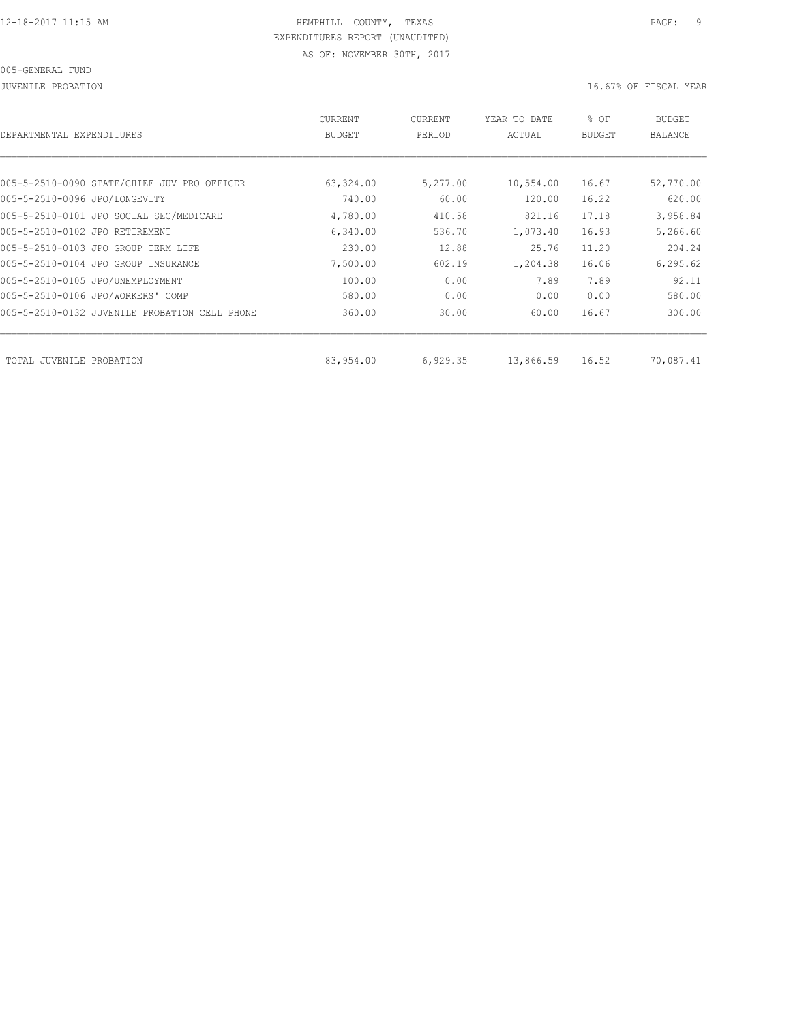JUVENILE PROBATION 16.67% OF FISCAL YEAR

| DEPARTMENTAL EXPENDITURES                     | CURRENT<br><b>BUDGET</b> | CURRENT<br>PERIOD | YEAR TO DATE<br>ACTUAL | % OF<br><b>BUDGET</b> | <b>BUDGET</b><br><b>BALANCE</b> |
|-----------------------------------------------|--------------------------|-------------------|------------------------|-----------------------|---------------------------------|
|                                               |                          |                   |                        |                       |                                 |
| 005-5-2510-0090 STATE/CHIEF JUV PRO OFFICER   | 63,324.00                | 5,277.00          | 10,554.00              | 16.67                 | 52,770.00                       |
| 005-5-2510-0096 JPO/LONGEVITY                 | 740.00                   | 60.00             | 120.00                 | 16.22                 | 620.00                          |
| 005-5-2510-0101 JPO SOCIAL SEC/MEDICARE       | 4,780.00                 | 410.58            | 821.16                 | 17.18                 | 3,958.84                        |
| 005-5-2510-0102 JPO RETIREMENT                | 6,340.00                 | 536.70            | 1,073.40               | 16.93                 | 5,266.60                        |
| 005-5-2510-0103 JPO GROUP TERM LIFE           | 230.00                   | 12.88             | 25.76                  | 11.20                 | 204.24                          |
| 005-5-2510-0104 JPO GROUP INSURANCE           | 7,500.00                 | 602.19            | 1,204.38               | 16.06                 | 6, 295.62                       |
| 005-5-2510-0105 JPO/UNEMPLOYMENT              | 100.00                   | 0.00              | 7.89                   | 7.89                  | 92.11                           |
| 005-5-2510-0106 JPO/WORKERS' COMP             | 580.00                   | 0.00              | 0.00                   | 0.00                  | 580.00                          |
| 005-5-2510-0132 JUVENILE PROBATION CELL PHONE | 360.00                   | 30.00             | 60.00                  | 16.67                 | 300.00                          |
|                                               |                          |                   |                        |                       |                                 |
| TOTAL JUVENILE<br>PROBATION                   | 83,954.00                | 6,929.35          | 13,866.59              | 16.52                 | 70,087.41                       |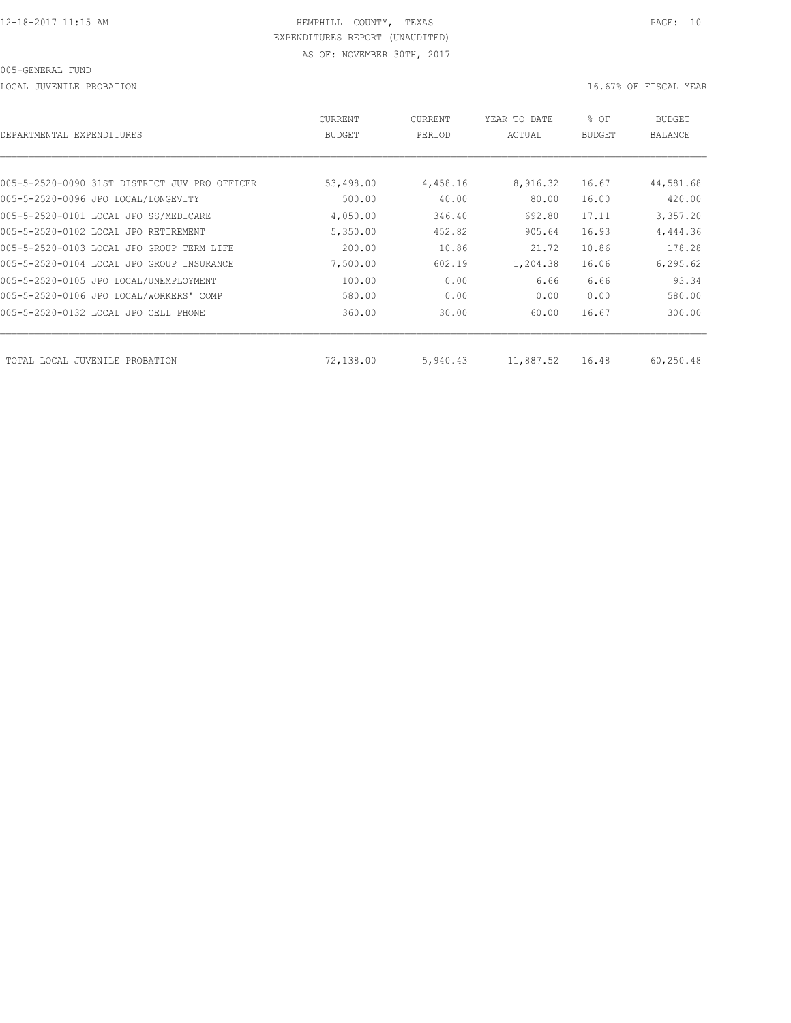LOCAL JUVENILE PROBATION 16.67% OF FISCAL YEAR

| DEPARTMENTAL EXPENDITURES                     | CURRENT<br><b>BUDGET</b> | CURRENT<br>PERIOD | YEAR TO DATE<br>ACTUAL | % OF<br><b>BUDGET</b> | BUDGET<br><b>BALANCE</b> |
|-----------------------------------------------|--------------------------|-------------------|------------------------|-----------------------|--------------------------|
|                                               |                          |                   |                        |                       |                          |
| 005-5-2520-0090 31ST DISTRICT JUV PRO OFFICER | 53,498.00                | 4,458.16          | 8,916.32               | 16.67                 | 44,581.68                |
| 005-5-2520-0096 JPO LOCAL/LONGEVITY           | 500.00                   | 40.00             | 80.00                  | 16.00                 | 420.00                   |
| 005-5-2520-0101 LOCAL JPO SS/MEDICARE         | 4,050.00                 | 346.40            | 692.80                 | 17.11                 | 3,357.20                 |
| 005-5-2520-0102 LOCAL JPO RETIREMENT          | 5,350.00                 | 452.82            | 905.64                 | 16.93                 | 4,444.36                 |
| 005-5-2520-0103 LOCAL JPO GROUP TERM LIFE     | 200.00                   | 10.86             | 21.72                  | 10.86                 | 178.28                   |
| 005-5-2520-0104 LOCAL JPO GROUP INSURANCE     | 7,500.00                 | 602.19            | 1,204.38               | 16.06                 | 6, 295.62                |
| 005-5-2520-0105 JPO LOCAL/UNEMPLOYMENT        | 100.00                   | 0.00              | 6.66                   | 6.66                  | 93.34                    |
| 005-5-2520-0106 JPO LOCAL/WORKERS' COMP       | 580.00                   | 0.00              | 0.00                   | 0.00                  | 580.00                   |
| 005-5-2520-0132 LOCAL JPO CELL PHONE          | 360.00                   | 30.00             | 60.00                  | 16.67                 | 300.00                   |
| TOTAL LOCAL JUVENILE PROBATION                | 72,138.00                | 5,940.43          | 11,887.52              | 16.48                 | 60,250.48                |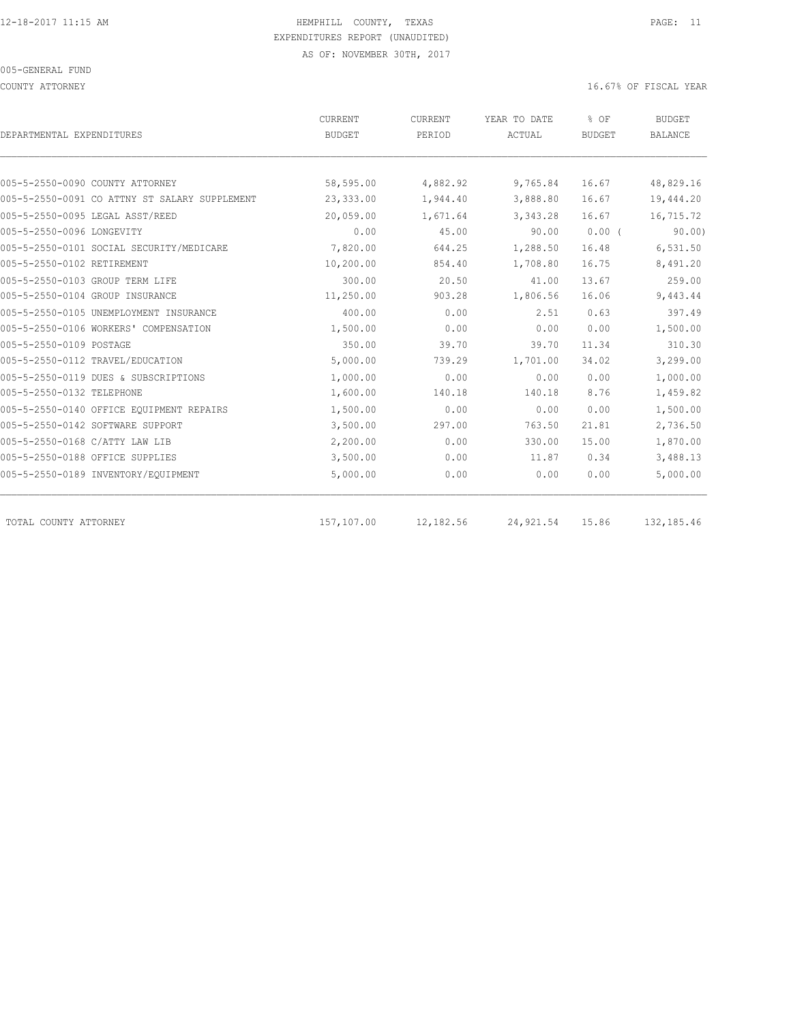COUNTY ATTORNEY 16.67% OF FISCAL YEAR

| DEPARTMENTAL EXPENDITURES                     | <b>CURRENT</b><br><b>BUDGET</b> | <b>CURRENT</b><br>PERIOD | YEAR TO DATE<br>ACTUAL | % OF<br><b>BUDGET</b> | <b>BUDGET</b><br><b>BALANCE</b> |
|-----------------------------------------------|---------------------------------|--------------------------|------------------------|-----------------------|---------------------------------|
|                                               |                                 |                          |                        |                       |                                 |
| 005-5-2550-0090 COUNTY ATTORNEY               | 58,595.00                       | 4,882.92                 | 9,765.84               | 16.67                 | 48,829.16                       |
| 005-5-2550-0091 CO ATTNY ST SALARY SUPPLEMENT | 23,333.00                       | 1,944.40                 | 3,888.80               | 16.67                 | 19,444.20                       |
| 005-5-2550-0095 LEGAL ASST/REED               | 20,059.00                       | 1,671.64                 | 3,343.28               | 16.67                 | 16,715.72                       |
| 005-5-2550-0096 LONGEVITY                     | 0.00                            | 45.00                    | 90.00                  | $0.00$ (              | 90.00)                          |
| 005-5-2550-0101 SOCIAL SECURITY/MEDICARE      | 7,820.00                        | 644.25                   | 1,288.50               | 16.48                 | 6,531.50                        |
| 005-5-2550-0102 RETIREMENT                    | 10,200.00                       | 854.40                   | 1,708.80               | 16.75                 | 8,491.20                        |
| 005-5-2550-0103 GROUP TERM LIFE               | 300.00                          | 20.50                    | 41.00                  | 13.67                 | 259.00                          |
| 005-5-2550-0104 GROUP INSURANCE               | 11,250.00                       | 903.28                   | 1,806.56               | 16.06                 | 9,443.44                        |
| 005-5-2550-0105 UNEMPLOYMENT INSURANCE        | 400.00                          | 0.00                     | 2.51                   | 0.63                  | 397.49                          |
| 005-5-2550-0106 WORKERS' COMPENSATION         | 1,500.00                        | 0.00                     | 0.00                   | 0.00                  | 1,500.00                        |
| 005-5-2550-0109 POSTAGE                       | 350.00                          | 39.70                    | 39.70                  | 11.34                 | 310.30                          |
| 005-5-2550-0112 TRAVEL/EDUCATION              | 5,000.00                        | 739.29                   | 1,701.00               | 34.02                 | 3,299.00                        |
| 005-5-2550-0119 DUES & SUBSCRIPTIONS          | 1,000.00                        | 0.00                     | 0.00                   | 0.00                  | 1,000.00                        |
| 005-5-2550-0132 TELEPHONE                     | 1,600.00                        | 140.18                   | 140.18                 | 8.76                  | 1,459.82                        |
| 005-5-2550-0140 OFFICE EQUIPMENT REPAIRS      | 1,500.00                        | 0.00                     | 0.00                   | 0.00                  | 1,500.00                        |
| 005-5-2550-0142 SOFTWARE SUPPORT              | 3,500.00                        | 297.00                   | 763.50                 | 21.81                 | 2,736.50                        |
| 005-5-2550-0168 C/ATTY LAW LIB                | 2,200.00                        | 0.00                     | 330.00                 | 15.00                 | 1,870.00                        |
| 005-5-2550-0188 OFFICE SUPPLIES               | 3,500.00                        | 0.00                     | 11.87                  | 0.34                  | 3,488.13                        |
| 005-5-2550-0189 INVENTORY/EQUIPMENT           | 5,000.00                        | 0.00                     | 0.00                   | 0.00                  | 5,000.00                        |
| TOTAL COUNTY ATTORNEY                         | 157,107.00                      | 12,182.56                | 24,921.54              | 15.86                 | 132,185.46                      |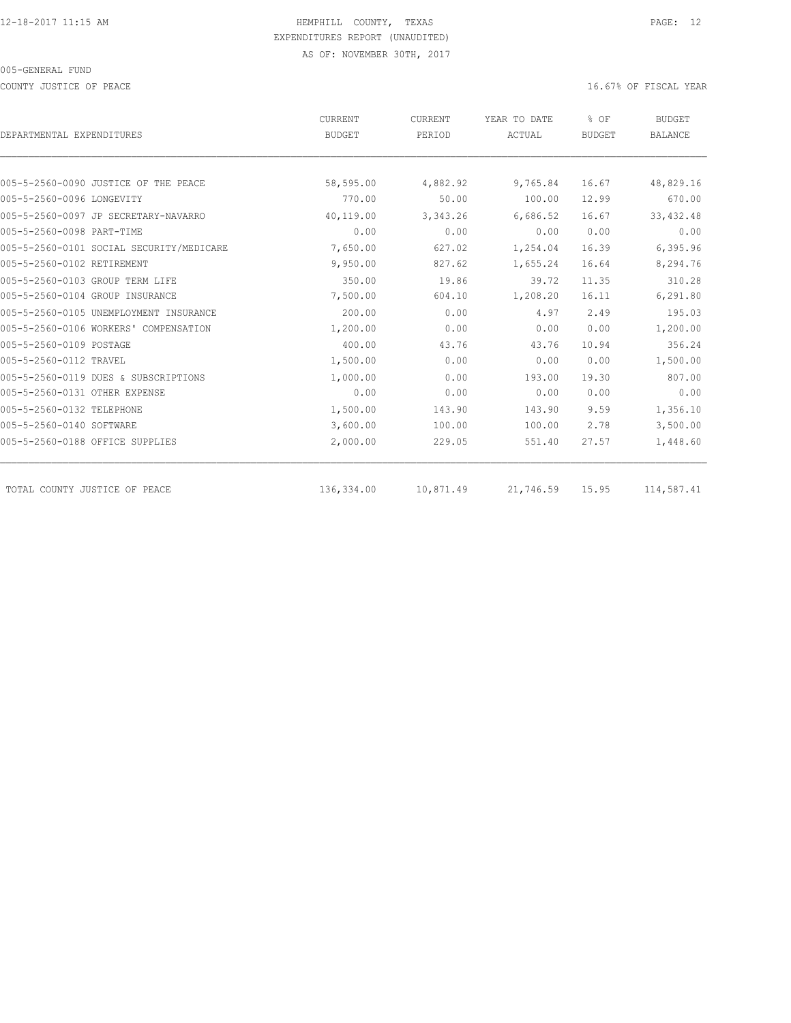COUNTY JUSTICE OF PEACE **16.67%** OF FISCAL YEAR

| DEPARTMENTAL EXPENDITURES                | CURRENT<br><b>BUDGET</b> | CURRENT<br>PERIOD | YEAR TO DATE<br>ACTUAL | % OF<br><b>BUDGET</b> | <b>BUDGET</b><br><b>BALANCE</b> |
|------------------------------------------|--------------------------|-------------------|------------------------|-----------------------|---------------------------------|
|                                          |                          |                   |                        |                       |                                 |
| 005-5-2560-0090 JUSTICE OF THE PEACE     | 58,595.00                | 4,882.92          | 9,765.84               | 16.67                 | 48,829.16                       |
| 005-5-2560-0096 LONGEVITY                | 770.00                   | 50.00             | 100.00                 | 12.99                 | 670.00                          |
| 005-5-2560-0097 JP SECRETARY-NAVARRO     | 40,119.00                | 3, 343.26         | 6,686.52               | 16.67                 | 33, 432.48                      |
| 005-5-2560-0098 PART-TIME                | 0.00                     | 0.00              | 0.00                   | 0.00                  | 0.00                            |
| 005-5-2560-0101 SOCIAL SECURITY/MEDICARE | 7,650.00                 | 627.02            | 1,254.04               | 16.39                 | 6,395.96                        |
| 005-5-2560-0102 RETIREMENT               | 9,950.00                 | 827.62            | 1,655.24               | 16.64                 | 8,294.76                        |
| 005-5-2560-0103 GROUP TERM LIFE          | 350.00                   | 19.86             | 39.72                  | 11.35                 | 310.28                          |
| 005-5-2560-0104 GROUP INSURANCE          | 7,500.00                 | 604.10            | 1,208.20               | 16.11                 | 6,291.80                        |
| 005-5-2560-0105 UNEMPLOYMENT INSURANCE   | 200.00                   | 0.00              | 4.97                   | 2.49                  | 195.03                          |
| 005-5-2560-0106 WORKERS' COMPENSATION    | 1,200.00                 | 0.00              | 0.00                   | 0.00                  | 1,200.00                        |
| 005-5-2560-0109 POSTAGE                  | 400.00                   | 43.76             | 43.76                  | 10.94                 | 356.24                          |
| 005-5-2560-0112 TRAVEL                   | 1,500.00                 | 0.00              | 0.00                   | 0.00                  | 1,500.00                        |
| 005-5-2560-0119 DUES & SUBSCRIPTIONS     | 1,000.00                 | 0.00              | 193.00                 | 19.30                 | 807.00                          |
| 005-5-2560-0131 OTHER EXPENSE            | 0.00                     | 0.00              | 0.00                   | 0.00                  | 0.00                            |
| 005-5-2560-0132 TELEPHONE                | 1,500.00                 | 143.90            | 143.90                 | 9.59                  | 1,356.10                        |
| 005-5-2560-0140 SOFTWARE                 | 3,600.00                 | 100.00            | 100.00                 | 2.78                  | 3,500.00                        |
| 005-5-2560-0188 OFFICE SUPPLIES          | 2,000.00                 | 229.05            | 551.40                 | 27.57                 | 1,448.60                        |
| TOTAL COUNTY JUSTICE OF PEACE            | 136,334.00               | 10,871.49         | 21,746.59              | 15.95                 | 114,587.41                      |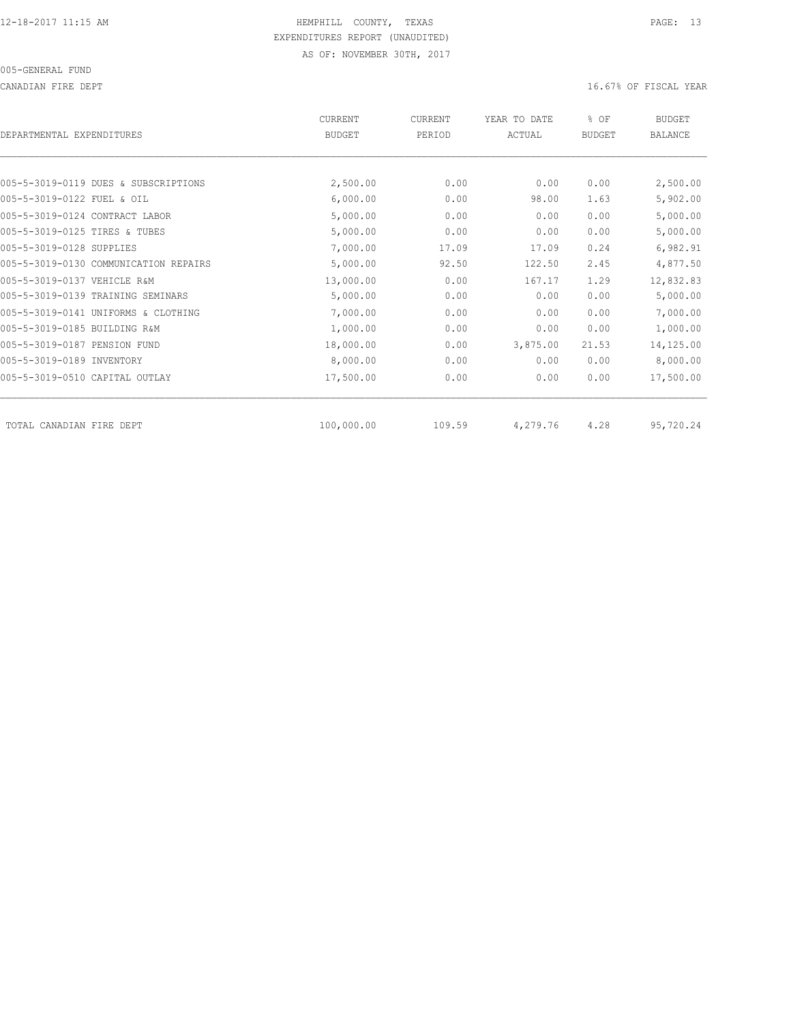CANADIAN FIRE DEPT **16.67%** OF FISCAL YEAR

| DEPARTMENTAL EXPENDITURES             | <b>CURRENT</b><br><b>BUDGET</b> | CURRENT<br>PERIOD | YEAR TO DATE<br>ACTUAL | % OF<br><b>BUDGET</b> | <b>BUDGET</b><br>BALANCE |
|---------------------------------------|---------------------------------|-------------------|------------------------|-----------------------|--------------------------|
|                                       |                                 |                   |                        |                       |                          |
| 005-5-3019-0119 DUES & SUBSCRIPTIONS  | 2,500.00                        | 0.00              | 0.00                   | 0.00                  | 2,500.00                 |
| 005-5-3019-0122 FUEL & OIL            | 6,000.00                        | 0.00              | 98.00                  | 1.63                  | 5,902.00                 |
| 005-5-3019-0124 CONTRACT LABOR        | 5,000.00                        | 0.00              | 0.00                   | 0.00                  | 5,000.00                 |
| 005-5-3019-0125 TIRES & TUBES         | 5,000.00                        | 0.00              | 0.00                   | 0.00                  | 5,000.00                 |
| 005-5-3019-0128 SUPPLIES              | 7,000.00                        | 17.09             | 17.09                  | 0.24                  | 6,982.91                 |
| 005-5-3019-0130 COMMUNICATION REPAIRS | 5,000.00                        | 92.50             | 122.50                 | 2.45                  | 4,877.50                 |
| 005-5-3019-0137 VEHICLE R&M           | 13,000.00                       | 0.00              | 167.17                 | 1.29                  | 12,832.83                |
| 005-5-3019-0139 TRAINING SEMINARS     | 5,000.00                        | 0.00              | 0.00                   | 0.00                  | 5,000.00                 |
| 005-5-3019-0141 UNIFORMS & CLOTHING   | 7,000.00                        | 0.00              | 0.00                   | 0.00                  | 7,000.00                 |
| 005-5-3019-0185 BUILDING R&M          | 1,000.00                        | 0.00              | 0.00                   | 0.00                  | 1,000.00                 |
| 005-5-3019-0187 PENSION FUND          | 18,000.00                       | 0.00              | 3,875.00               | 21.53                 | 14,125.00                |
| 005-5-3019-0189 INVENTORY             | 8,000.00                        | 0.00              | 0.00                   | 0.00                  | 8,000.00                 |
| 005-5-3019-0510 CAPITAL OUTLAY        | 17,500.00                       | 0.00              | 0.00                   | 0.00                  | 17,500.00                |
| TOTAL CANADIAN FIRE DEPT              | 100,000.00                      | 109.59            | 4,279.76               | 4.28                  | 95,720.24                |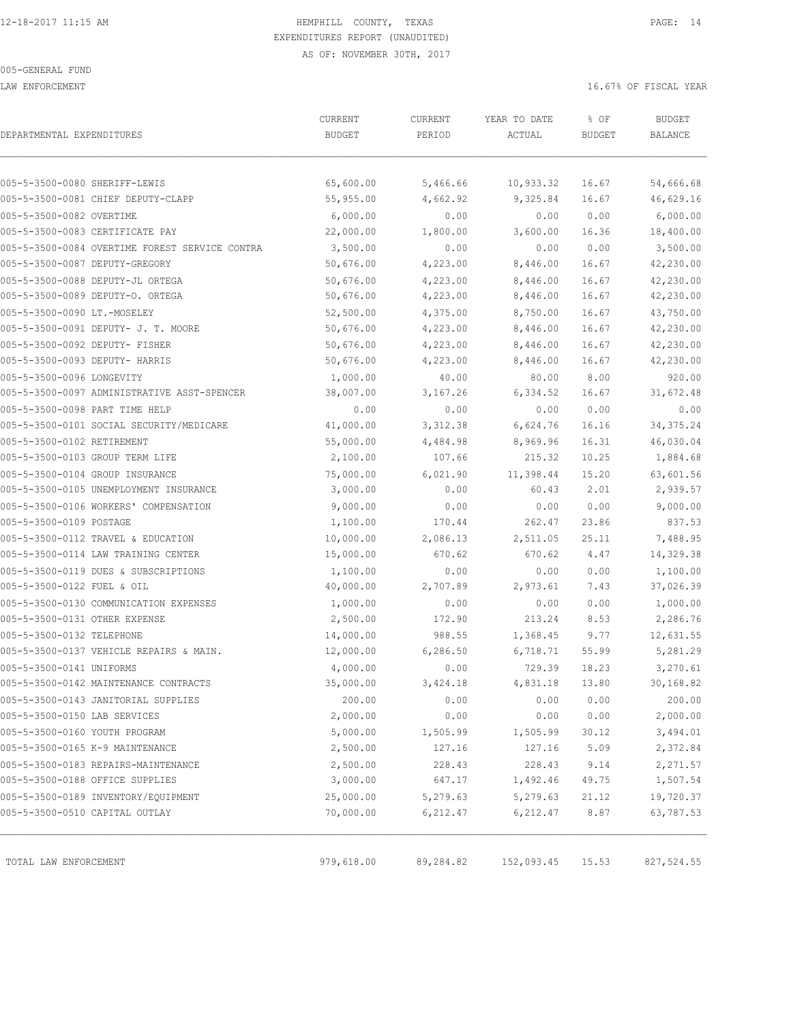LAW ENFORCEMENT **16.67%** OF FISCAL YEAR

| DEPARTMENTAL EXPENDITURES      |                                                | ${\tt CURRENT}$<br><b>BUDGET</b> | CURRENT<br>PERIOD | YEAR TO DATE<br>ACTUAL | % OF<br><b>BUDGET</b> | <b>BUDGET</b><br>BALANCE |
|--------------------------------|------------------------------------------------|----------------------------------|-------------------|------------------------|-----------------------|--------------------------|
| 005-5-3500-0080 SHERIFF-LEWIS  |                                                | 65,600.00                        | 5,466.66          | 10,933.32              | 16.67                 | 54,666.68                |
|                                | 005-5-3500-0081 CHIEF DEPUTY-CLAPP             | 55,955.00                        | 4,662.92          | 9,325.84               | 16.67                 | 46,629.16                |
| 005-5-3500-0082 OVERTIME       |                                                | 6,000.00                         | 0.00              | 0.00                   | 0.00                  | 6,000.00                 |
|                                | 005-5-3500-0083 CERTIFICATE PAY                | 22,000.00                        | 1,800.00          | 3,600.00               | 16.36                 | 18,400.00                |
|                                | 005-5-3500-0084 OVERTIME FOREST SERVICE CONTRA | 3,500.00                         | 0.00              | 0.00                   | 0.00                  | 3,500.00                 |
| 005-5-3500-0087 DEPUTY-GREGORY |                                                | 50,676.00                        | 4,223.00          | 8,446.00               | 16.67                 | 42,230.00                |
|                                | 005-5-3500-0088 DEPUTY-JL ORTEGA               | 50,676.00                        | 4,223.00          | 8,446.00               | 16.67                 | 42,230.00                |
|                                | 005-5-3500-0089 DEPUTY-O. ORTEGA               | 50,676.00                        | 4,223.00          | 8,446.00               | 16.67                 | 42,230.00                |
| 005-5-3500-0090 LT.-MOSELEY    |                                                | 52,500.00                        | 4,375.00          | 8,750.00               | 16.67                 | 43,750.00                |
|                                | 005-5-3500-0091 DEPUTY- J. T. MOORE            | 50,676.00                        | 4,223.00          | 8,446.00               | 16.67                 | 42,230.00                |
| 005-5-3500-0092 DEPUTY- FISHER |                                                | 50,676.00                        | 4,223.00          | 8,446.00               | 16.67                 | 42,230.00                |
| 005-5-3500-0093 DEPUTY- HARRIS |                                                | 50,676.00                        | 4,223.00          | 8,446.00               | 16.67                 | 42,230.00                |
| 005-5-3500-0096 LONGEVITY      |                                                | 1,000.00                         | 40.00             | 80.00                  | 8.00                  | 920.00                   |
|                                | 005-5-3500-0097 ADMINISTRATIVE ASST-SPENCER    | 38,007.00                        | 3,167.26          | 6,334.52               | 16.67                 | 31,672.48                |
| 005-5-3500-0098 PART TIME HELP |                                                | 0.00                             | 0.00              | 0.00                   | 0.00                  | 0.00                     |
|                                | 005-5-3500-0101 SOCIAL SECURITY/MEDICARE       | 41,000.00                        | 3,312.38          | 6,624.76               | 16.16                 | 34, 375. 24              |
| 005-5-3500-0102 RETIREMENT     |                                                | 55,000.00                        | 4,484.98          | 8,969.96               | 16.31                 | 46,030.04                |
|                                | 005-5-3500-0103 GROUP TERM LIFE                | 2,100.00                         | 107.66            | 215.32                 | 10.25                 | 1,884.68                 |
|                                | 005-5-3500-0104 GROUP INSURANCE                | 75,000.00                        | 6,021.90          | 11,398.44              | 15.20                 | 63,601.56                |
|                                | 005-5-3500-0105 UNEMPLOYMENT INSURANCE         | 3,000.00                         | 0.00              | 60.43                  | 2.01                  | 2,939.57                 |
|                                | 005-5-3500-0106 WORKERS' COMPENSATION          | 9,000.00                         | 0.00              | 0.00                   | 0.00                  | 9,000.00                 |
| 005-5-3500-0109 POSTAGE        |                                                | 1,100.00                         | 170.44            | 262.47                 | 23.86                 | 837.53                   |
|                                | 005-5-3500-0112 TRAVEL & EDUCATION             | 10,000.00                        | 2,086.13          | 2,511.05               | 25.11                 | 7,488.95                 |
|                                | 005-5-3500-0114 LAW TRAINING CENTER            | 15,000.00                        | 670.62            | 670.62                 | 4.47                  | 14,329.38                |
|                                | 005-5-3500-0119 DUES & SUBSCRIPTIONS           | 1,100.00                         | 0.00              | 0.00                   | 0.00                  | 1,100.00                 |
| 005-5-3500-0122 FUEL & OIL     |                                                | 40,000.00                        | 2,707.89          | 2,973.61               | 7.43                  | 37,026.39                |
|                                | 005-5-3500-0130 COMMUNICATION EXPENSES         | 1,000.00                         | 0.00              | 0.00                   | 0.00                  | 1,000.00                 |
| 005-5-3500-0131 OTHER EXPENSE  |                                                | 2,500.00                         | 172.90            | 213.24                 | 8.53                  | 2,286.76                 |
| 005-5-3500-0132 TELEPHONE      |                                                | 14,000.00                        | 988.55            | 1,368.45               | 9.77                  | 12,631.55                |
|                                | 005-5-3500-0137 VEHICLE REPAIRS & MAIN.        | 12,000.00                        | 6,286.50          | 6,718.71               | 55.99                 | 5,281.29                 |
| 005-5-3500-0141 UNIFORMS       |                                                | 4,000.00                         | 0.00              | 729.39                 | 18.23                 | 3,270.61                 |
|                                | 005-5-3500-0142 MAINTENANCE CONTRACTS          | 35,000.00                        | 3,424.18          | 4,831.18               | 13.80                 | 30,168.82                |
|                                | 005-5-3500-0143 JANITORIAL SUPPLIES            | 200.00                           | 0.00              | 0.00                   | 0.00                  | 200.00                   |
| 005-5-3500-0150 LAB SERVICES   |                                                | 2,000.00                         | 0.00              | 0.00                   | 0.00                  | 2,000.00                 |
| 005-5-3500-0160 YOUTH PROGRAM  |                                                | 5,000.00                         | 1,505.99          | 1,505.99               | 30.12                 | 3,494.01                 |
|                                | 005-5-3500-0165 K-9 MAINTENANCE                | 2,500.00                         | 127.16            | 127.16                 | 5.09                  | 2,372.84                 |
|                                | 005-5-3500-0183 REPAIRS-MAINTENANCE            | 2,500.00                         | 228.43            | 228.43                 | 9.14                  | 2,271.57                 |
|                                | 005-5-3500-0188 OFFICE SUPPLIES                | 3,000.00                         | 647.17            | 1,492.46               | 49.75                 | 1,507.54                 |
|                                | 005-5-3500-0189 INVENTORY/EQUIPMENT            | 25,000.00                        | 5,279.63          | 5,279.63               | 21.12                 | 19,720.37                |
| 005-5-3500-0510 CAPITAL OUTLAY |                                                | 70,000.00                        | 6, 212.47         | 6, 212.47              | 8.87                  | 63,787.53                |
| TOTAL LAW ENFORCEMENT          |                                                | 979,618.00                       | 89,284.82         | 152,093.45             | 15.53                 | 827,524.55               |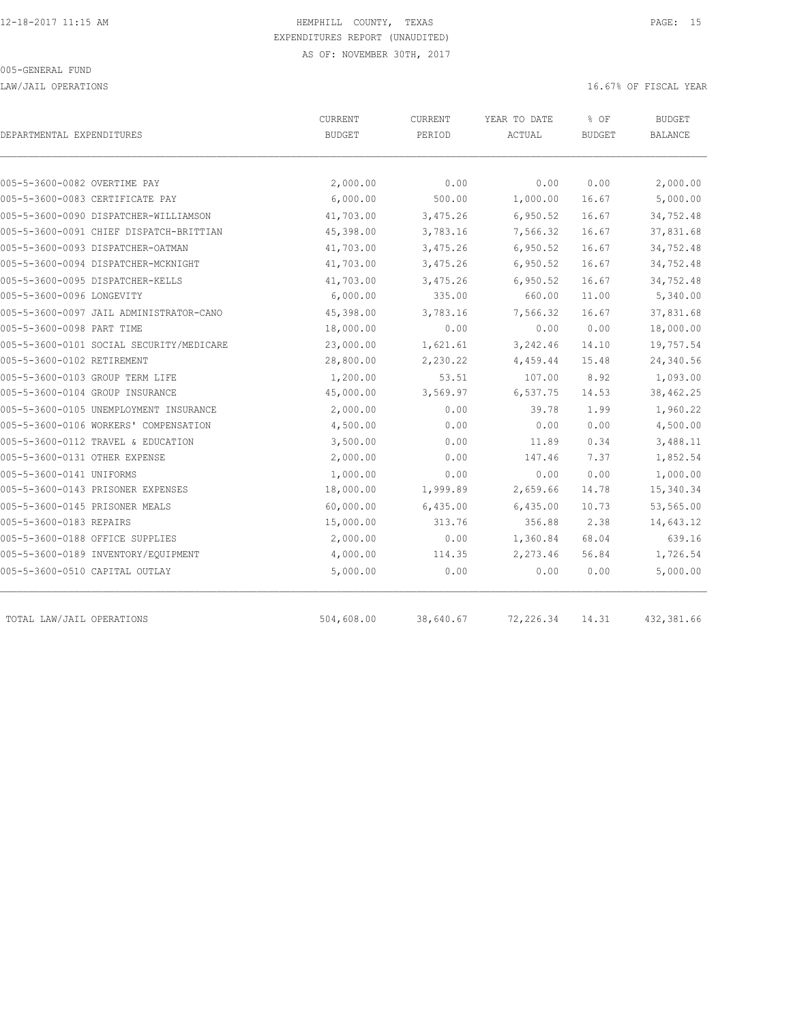LAW/JAIL OPERATIONS 16.67% OF FISCAL YEAR

| DEPARTMENTAL EXPENDITURES                                                        | CURRENT<br><b>BUDGET</b> | CURRENT<br>PERIOD    | YEAR TO DATE<br>ACTUAL | % OF<br><b>BUDGET</b> | <b>BUDGET</b><br><b>BALANCE</b> |
|----------------------------------------------------------------------------------|--------------------------|----------------------|------------------------|-----------------------|---------------------------------|
|                                                                                  |                          | 0.00                 |                        |                       |                                 |
| 005-5-3600-0082 OVERTIME PAY<br>005-5-3600-0083 CERTIFICATE PAY                  | 2,000.00<br>6,000.00     | 500.00               | 0.00<br>1,000.00       | 0.00<br>16.67         | 2,000.00<br>5,000.00            |
|                                                                                  |                          |                      |                        |                       |                                 |
| 005-5-3600-0090 DISPATCHER-WILLIAMSON<br>005-5-3600-0091 CHIEF DISPATCH-BRITTIAN | 41,703.00<br>45,398.00   | 3,475.26<br>3,783.16 | 6,950.52<br>7,566.32   | 16.67<br>16.67        | 34,752.48<br>37,831.68          |
|                                                                                  |                          |                      |                        |                       |                                 |
| 005-5-3600-0093 DISPATCHER-OATMAN                                                | 41,703.00                | 3,475.26             | 6,950.52               | 16.67                 | 34,752.48                       |
| 005-5-3600-0094 DISPATCHER-MCKNIGHT                                              | 41,703.00                | 3,475.26             | 6,950.52               | 16.67                 | 34,752.48                       |
| 005-5-3600-0095 DISPATCHER-KELLS                                                 | 41,703.00                | 3,475.26             | 6,950.52               | 16.67                 | 34,752.48                       |
| 005-5-3600-0096 LONGEVITY                                                        | 6,000.00                 | 335.00               | 660.00                 | 11.00                 | 5,340.00                        |
| 005-5-3600-0097 JAIL ADMINISTRATOR-CANO                                          | 45,398.00                | 3,783.16             | 7,566.32               | 16.67                 | 37,831.68                       |
| 005-5-3600-0098 PART TIME                                                        | 18,000.00                | 0.00                 | 0.00                   | 0.00                  | 18,000.00                       |
| 005-5-3600-0101 SOCIAL SECURITY/MEDICARE                                         | 23,000.00                | 1,621.61             | 3,242.46               | 14.10                 | 19,757.54                       |
| 005-5-3600-0102 RETIREMENT                                                       | 28,800.00                | 2,230.22             | 4,459.44               | 15.48                 | 24,340.56                       |
| 005-5-3600-0103 GROUP TERM LIFE                                                  | 1,200.00                 | 53.51                | 107.00                 | 8.92                  | 1,093.00                        |
| 005-5-3600-0104 GROUP INSURANCE                                                  | 45,000.00                | 3,569.97             | 6,537.75               | 14.53                 | 38,462.25                       |
| 005-5-3600-0105 UNEMPLOYMENT INSURANCE                                           | 2,000.00                 | 0.00                 | 39.78                  | 1.99                  | 1,960.22                        |
| 005-5-3600-0106 WORKERS' COMPENSATION                                            | 4,500.00                 | 0.00                 | 0.00                   | 0.00                  | 4,500.00                        |
| 005-5-3600-0112 TRAVEL & EDUCATION                                               | 3,500.00                 | 0.00                 | 11.89                  | 0.34                  | 3,488.11                        |
| 005-5-3600-0131 OTHER EXPENSE                                                    | 2,000.00                 | 0.00                 | 147.46                 | 7.37                  | 1,852.54                        |
| 005-5-3600-0141 UNIFORMS                                                         | 1,000.00                 | 0.00                 | 0.00                   | 0.00                  | 1,000.00                        |
| 005-5-3600-0143 PRISONER EXPENSES                                                | 18,000.00                | 1,999.89             | 2,659.66               | 14.78                 | 15,340.34                       |
| 005-5-3600-0145 PRISONER MEALS                                                   | 60,000.00                | 6,435.00             | 6,435.00               | 10.73                 | 53,565.00                       |
| 005-5-3600-0183 REPAIRS                                                          | 15,000.00                | 313.76               | 356.88                 | 2.38                  | 14,643.12                       |
| 005-5-3600-0188 OFFICE SUPPLIES                                                  | 2,000.00                 | 0.00                 | 1,360.84               | 68.04                 | 639.16                          |
| 005-5-3600-0189 INVENTORY/EQUIPMENT                                              | 4,000.00                 | 114.35               | 2,273.46               | 56.84                 | 1,726.54                        |
| 005-5-3600-0510 CAPITAL OUTLAY                                                   | 5,000.00                 | 0.00                 | 0.00                   | 0.00                  | 5,000.00                        |
| TOTAL LAW/JAIL OPERATIONS                                                        | 504,608.00               | 38,640.67            | 72,226.34              | 14.31                 | 432,381.66                      |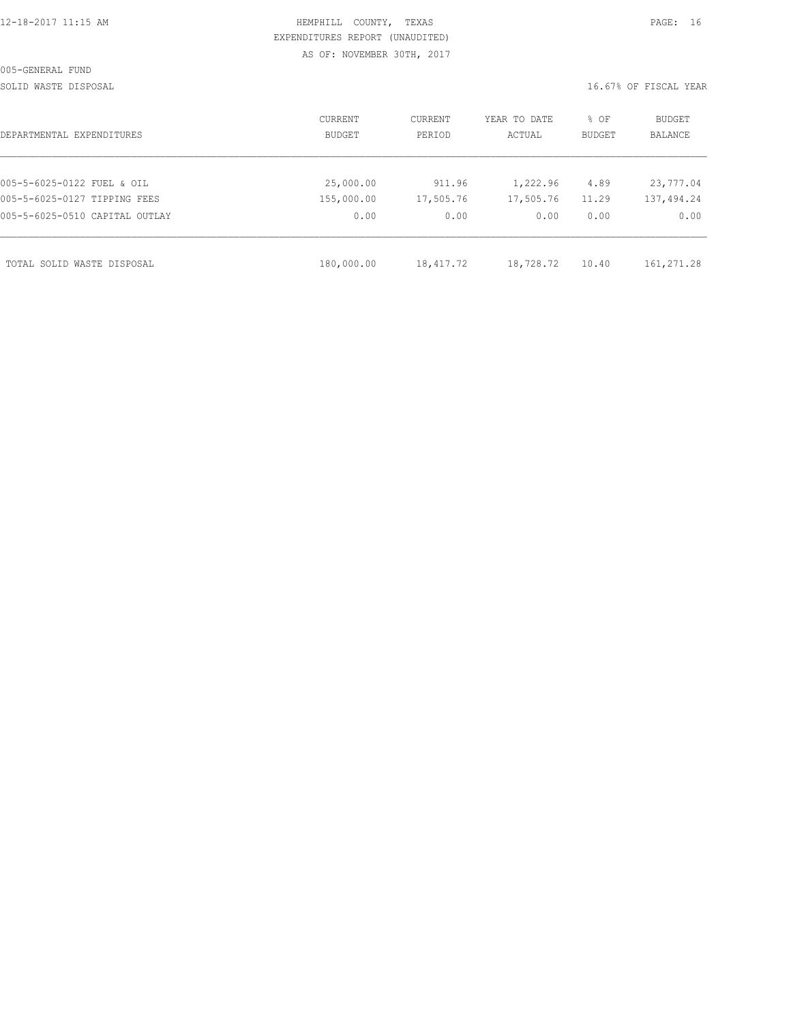|  | 12-18-2017 11:15 AM |  |
|--|---------------------|--|
|  |                     |  |

## HEMPHILL COUNTY, TEXAS **16 AM HEMPHILL COUNTY, TEXAS**  EXPENDITURES REPORT (UNAUDITED) AS OF: NOVEMBER 30TH, 2017

SOLID WASTE DISPOSAL SOLID WASTE SERVER THE SOLID WASTER THE SOLID WASTER THE SOLID WASTER SERVER.

| CURRENT<br><b>BUDGET</b> | CURRENT<br>PERIOD | YEAR TO DATE<br>ACTUAL | % OF<br><b>BUDGET</b>  | BUDGET<br><b>BALANCE</b> |
|--------------------------|-------------------|------------------------|------------------------|--------------------------|
|                          |                   |                        |                        |                          |
| 25,000.00                | 911.96            | 1,222.96               | 4.89                   | 23,777.04                |
| 155,000.00               | 17,505.76         | 17,505.76              | 11.29                  | 137,494.24               |
| 0.00                     | 0.00              | 0.00                   | 0.00                   | 0.00                     |
|                          |                   |                        |                        | 161,271.28               |
|                          | 180,000.00        |                        | 18,728.72<br>18,417.72 | 10.40                    |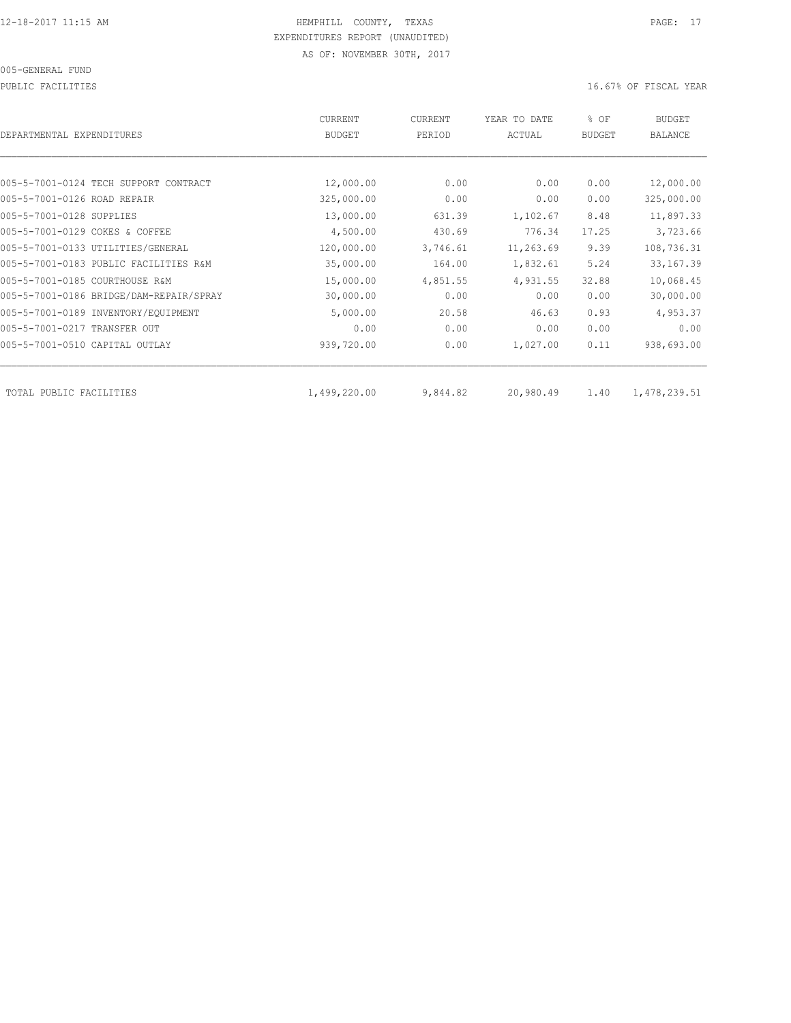#### 005-GENERAL FUND

PUBLIC FACILITIES **16.67%** OF FISCAL YEAR

| DEPARTMENTAL EXPENDITURES               | CURRENT<br><b>BUDGET</b> | CURRENT<br>PERIOD | YEAR TO DATE<br>ACTUAL | % OF<br><b>BUDGET</b> | <b>BUDGET</b><br><b>BALANCE</b> |
|-----------------------------------------|--------------------------|-------------------|------------------------|-----------------------|---------------------------------|
|                                         |                          |                   |                        |                       |                                 |
| 005-5-7001-0124 TECH SUPPORT CONTRACT   | 12,000.00                | 0.00              | 0.00                   | 0.00                  | 12,000.00                       |
| 005-5-7001-0126 ROAD REPAIR             | 325,000.00               | 0.00              | 0.00                   | 0.00                  | 325,000.00                      |
| 005-5-7001-0128 SUPPLIES                | 13,000.00                | 631.39            | 1,102.67               | 8.48                  | 11,897.33                       |
| 005-5-7001-0129 COKES & COFFEE          | 4,500.00                 | 430.69            | 776.34                 | 17.25                 | 3,723.66                        |
| 005-5-7001-0133 UTILITIES/GENERAL       | 120,000.00               | 3,746.61          | 11,263.69              | 9.39                  | 108,736.31                      |
| 005-5-7001-0183 PUBLIC FACILITIES R&M   | 35,000.00                | 164.00            | 1,832.61               | 5.24                  | 33, 167.39                      |
| 005-5-7001-0185 COURTHOUSE R&M          | 15,000.00                | 4,851.55          | 4,931.55               | 32.88                 | 10,068.45                       |
| 005-5-7001-0186 BRIDGE/DAM-REPAIR/SPRAY | 30,000.00                | 0.00              | 0.00                   | 0.00                  | 30,000.00                       |
| 005-5-7001-0189 INVENTORY/EQUIPMENT     | 5,000.00                 | 20.58             | 46.63                  | 0.93                  | 4,953.37                        |
| 005-5-7001-0217 TRANSFER OUT            | 0.00                     | 0.00              | 0.00                   | 0.00                  | 0.00                            |
| 005-5-7001-0510 CAPITAL OUTLAY          | 939,720.00               | 0.00              | 1,027.00               | 0.11                  | 938,693.00                      |
| TOTAL PUBLIC FACILITIES                 | 1,499,220.00             | 9,844.82          | 20,980.49              | 1.40                  | 1,478,239.51                    |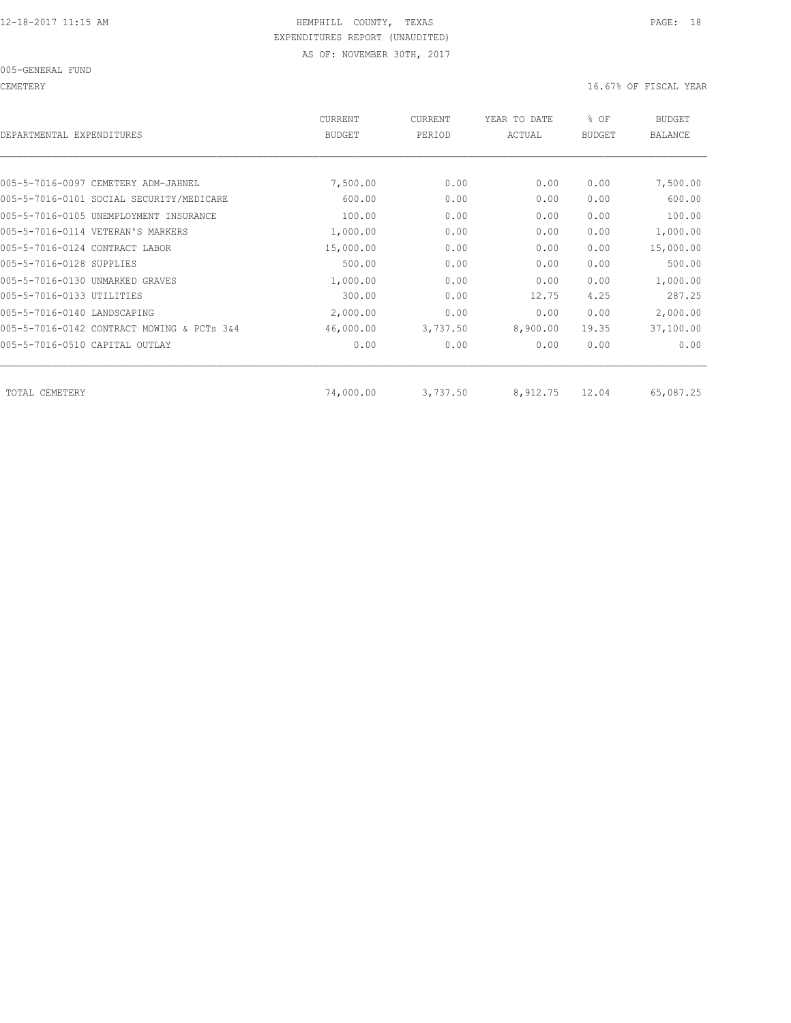CEMETERY 16.67% OF FISCAL YEAR

| DEPARTMENTAL EXPENDITURES                  | <b>CURRENT</b><br><b>BUDGET</b> | <b>CURRENT</b><br>PERIOD | YEAR TO DATE<br>ACTUAL | % OF<br><b>BUDGET</b> | <b>BUDGET</b><br><b>BALANCE</b> |
|--------------------------------------------|---------------------------------|--------------------------|------------------------|-----------------------|---------------------------------|
|                                            |                                 |                          |                        |                       |                                 |
| 005-5-7016-0097 CEMETERY ADM-JAHNEL        | 7,500.00                        | 0.00                     | 0.00                   | 0.00                  | 7,500.00                        |
| 005-5-7016-0101 SOCIAL SECURITY/MEDICARE   | 600.00                          | 0.00                     | 0.00                   | 0.00                  | 600.00                          |
| 005-5-7016-0105 UNEMPLOYMENT INSURANCE     | 100.00                          | 0.00                     | 0.00                   | 0.00                  | 100.00                          |
| 005-5-7016-0114 VETERAN'S MARKERS          | 1,000.00                        | 0.00                     | 0.00                   | 0.00                  | 1,000.00                        |
| 005-5-7016-0124 CONTRACT LABOR             | 15,000.00                       | 0.00                     | 0.00                   | 0.00                  | 15,000.00                       |
| 005-5-7016-0128 SUPPLIES                   | 500.00                          | 0.00                     | 0.00                   | 0.00                  | 500.00                          |
| 005-5-7016-0130 UNMARKED GRAVES            | 1,000.00                        | 0.00                     | 0.00                   | 0.00                  | 1,000.00                        |
| 005-5-7016-0133 UTILITIES                  | 300.00                          | 0.00                     | 12.75                  | 4.25                  | 287.25                          |
| 005-5-7016-0140 LANDSCAPING                | 2,000.00                        | 0.00                     | 0.00                   | 0.00                  | 2,000.00                        |
| 005-5-7016-0142 CONTRACT MOWING & PCTs 3&4 | 46,000.00                       | 3,737.50                 | 8,900.00               | 19.35                 | 37,100.00                       |
| 005-5-7016-0510 CAPITAL OUTLAY             | 0.00                            | 0.00                     | 0.00                   | 0.00                  | 0.00                            |
|                                            |                                 |                          |                        |                       |                                 |
| TOTAL CEMETERY                             | 74,000.00                       | 3,737.50                 | 8,912.75               | 12.04                 | 65,087.25                       |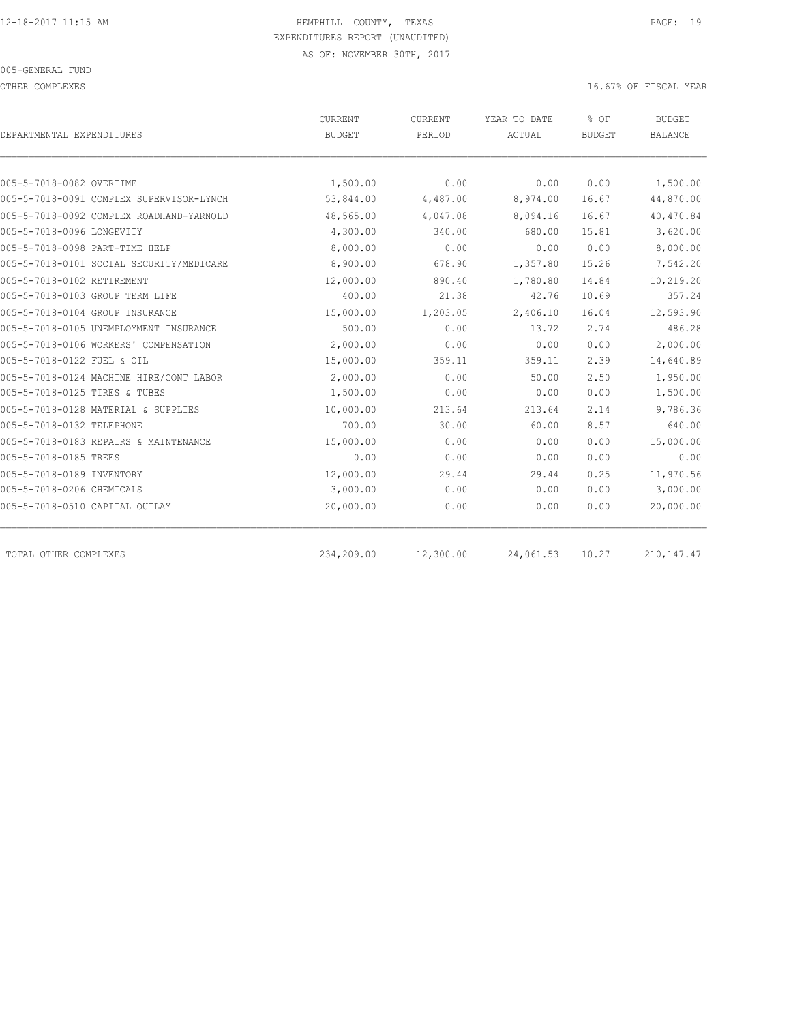OTHER COMPLEXES **OF SECONDITION**  $16.67$ % OF FISCAL YEAR

| DEPARTMENTAL EXPENDITURES                | CURRENT<br><b>BUDGET</b> | CURRENT<br>PERIOD | YEAR TO DATE<br>ACTUAL | % OF<br><b>BUDGET</b> | <b>BUDGET</b><br><b>BALANCE</b> |
|------------------------------------------|--------------------------|-------------------|------------------------|-----------------------|---------------------------------|
|                                          |                          |                   |                        |                       |                                 |
| 005-5-7018-0082 OVERTIME                 | 1,500.00                 | 0.00              | 0.00                   | 0.00                  | 1,500.00                        |
| 005-5-7018-0091 COMPLEX SUPERVISOR-LYNCH | 53,844.00                | 4,487.00          | 8,974.00               | 16.67                 | 44,870.00                       |
| 005-5-7018-0092 COMPLEX ROADHAND-YARNOLD | 48,565.00                | 4,047.08          | 8,094.16               | 16.67                 | 40,470.84                       |
| 005-5-7018-0096 LONGEVITY                | 4,300.00                 | 340.00            | 680.00                 | 15.81                 | 3,620.00                        |
| 005-5-7018-0098 PART-TIME HELP           | 8,000.00                 | 0.00              | 0.00                   | 0.00                  | 8,000.00                        |
| 005-5-7018-0101 SOCIAL SECURITY/MEDICARE | 8,900.00                 | 678.90            | 1,357.80               | 15.26                 | 7,542.20                        |
| 005-5-7018-0102 RETIREMENT               | 12,000.00                | 890.40            | 1,780.80               | 14.84                 | 10,219.20                       |
| 005-5-7018-0103 GROUP TERM LIFE          | 400.00                   | 21.38             | 42.76                  | 10.69                 | 357.24                          |
| 005-5-7018-0104 GROUP INSURANCE          | 15,000.00                | 1,203.05          | 2,406.10               | 16.04                 | 12,593.90                       |
| 005-5-7018-0105 UNEMPLOYMENT INSURANCE   | 500.00                   | 0.00              | 13.72                  | 2.74                  | 486.28                          |
| 005-5-7018-0106 WORKERS' COMPENSATION    | 2,000.00                 | 0.00              | 0.00                   | 0.00                  | 2,000.00                        |
| 005-5-7018-0122 FUEL & OIL               | 15,000.00                | 359.11            | 359.11                 | 2.39                  | 14,640.89                       |
| 005-5-7018-0124 MACHINE HIRE/CONT LABOR  | 2,000.00                 | 0.00              | 50.00                  | 2.50                  | 1,950.00                        |
| 005-5-7018-0125 TIRES & TUBES            | 1,500.00                 | 0.00              | 0.00                   | 0.00                  | 1,500.00                        |
| 005-5-7018-0128 MATERIAL & SUPPLIES      | 10,000.00                | 213.64            | 213.64                 | 2.14                  | 9,786.36                        |
| 005-5-7018-0132 TELEPHONE                | 700.00                   | 30.00             | 60.00                  | 8.57                  | 640.00                          |
| 005-5-7018-0183 REPAIRS & MAINTENANCE    | 15,000.00                | 0.00              | 0.00                   | 0.00                  | 15,000.00                       |
| 005-5-7018-0185 TREES                    | 0.00                     | 0.00              | 0.00                   | 0.00                  | 0.00                            |
| 005-5-7018-0189 INVENTORY                | 12,000.00                | 29.44             | 29.44                  | 0.25                  | 11,970.56                       |
| 005-5-7018-0206 CHEMICALS                | 3,000.00                 | 0.00              | 0.00                   | 0.00                  | 3,000.00                        |
| 005-5-7018-0510 CAPITAL OUTLAY           | 20,000.00                | 0.00              | 0.00                   | 0.00                  | 20,000.00                       |
| TOTAL OTHER COMPLEXES                    | 234,209.00               | 12,300.00         | 24,061.53              | 10.27                 | 210, 147. 47                    |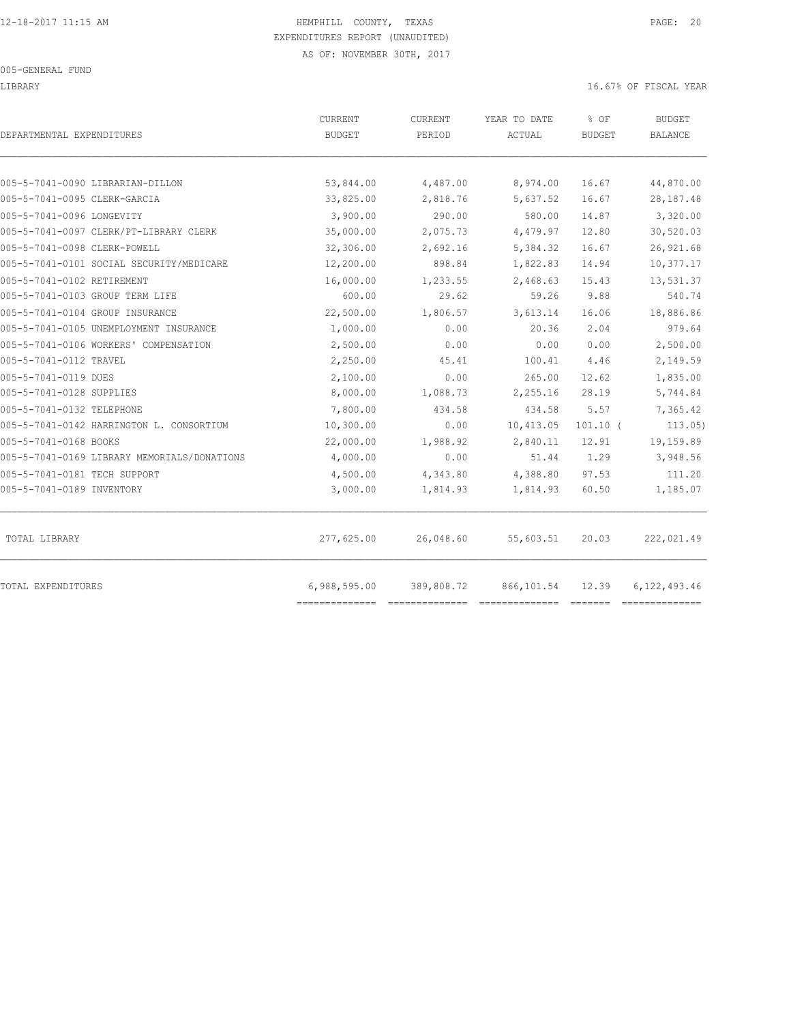#### 005-GENERAL FUND

#### LIBRARY 16.67% OF FISCAL YEAR

| DEPARTMENTAL EXPENDITURES                   | CURRENT<br><b>BUDGET</b> | CURRENT<br>PERIOD | YEAR TO DATE<br>ACTUAL | % OF<br><b>BUDGET</b> | <b>BUDGET</b><br><b>BALANCE</b> |
|---------------------------------------------|--------------------------|-------------------|------------------------|-----------------------|---------------------------------|
| 005-5-7041-0090 LIBRARIAN-DILLON            | 53,844.00                | 4,487.00          | 8,974.00               | 16.67                 | 44,870.00                       |
| 005-5-7041-0095 CLERK-GARCIA                | 33,825.00                | 2,818.76          | 5,637.52               | 16.67                 | 28, 187. 48                     |
| 005-5-7041-0096 LONGEVITY                   | 3,900.00                 | 290.00            | 580.00                 | 14.87                 | 3,320.00                        |
| 005-5-7041-0097 CLERK/PT-LIBRARY CLERK      | 35,000.00                | 2,075.73          | 4,479.97               | 12.80                 | 30,520.03                       |
| 005-5-7041-0098 CLERK-POWELL                | 32,306.00                | 2,692.16          | 5,384.32               | 16.67                 | 26,921.68                       |
| 005-5-7041-0101 SOCIAL SECURITY/MEDICARE    | 12,200.00                | 898.84            | 1,822.83               | 14.94                 | 10,377.17                       |
| 005-5-7041-0102 RETIREMENT                  | 16,000.00                | 1,233.55          | 2,468.63               | 15.43                 | 13,531.37                       |
| 005-5-7041-0103 GROUP TERM LIFE             | 600.00                   | 29.62             | 59.26                  | 9.88                  | 540.74                          |
| 005-5-7041-0104 GROUP INSURANCE             | 22,500.00                | 1,806.57          | 3,613.14               | 16.06                 | 18,886.86                       |
| 005-5-7041-0105 UNEMPLOYMENT INSURANCE      | 1,000.00                 | 0.00              | 20.36                  | 2.04                  | 979.64                          |
| 005-5-7041-0106 WORKERS' COMPENSATION       | 2,500.00                 | 0.00              | 0.00                   | 0.00                  | 2,500.00                        |
| 005-5-7041-0112 TRAVEL                      | 2,250.00                 | 45.41             | 100.41                 | 4.46                  | 2,149.59                        |
| 005-5-7041-0119 DUES                        | 2,100.00                 | 0.00              | 265.00                 | 12.62                 | 1,835.00                        |
| 005-5-7041-0128 SUPPLIES                    | 8,000.00                 | 1,088.73          | 2,255.16               | 28.19                 | 5,744.84                        |
| 005-5-7041-0132 TELEPHONE                   | 7,800.00                 | 434.58            | 434.58                 | 5.57                  | 7,365.42                        |
| 005-5-7041-0142 HARRINGTON L. CONSORTIUM    | 10,300.00                | 0.00              | 10,413.05              | $101.10$ (            | 113.05)                         |
| 005-5-7041-0168 BOOKS                       | 22,000.00                | 1,988.92          | 2,840.11               | 12.91                 | 19,159.89                       |
| 005-5-7041-0169 LIBRARY MEMORIALS/DONATIONS | 4,000.00                 | 0.00              | 51.44                  | 1.29                  | 3,948.56                        |
| 005-5-7041-0181 TECH SUPPORT                | 4,500.00                 | 4,343.80          | 4,388.80               | 97.53                 | 111.20                          |
| 005-5-7041-0189 INVENTORY                   | 3,000.00                 | 1,814.93          | 1,814.93               | 60.50                 | 1,185.07                        |
| TOTAL LIBRARY                               | 277,625.00               | 26,048.60         | 55,603.51              | 20.03                 | 222,021.49                      |
| TOTAL EXPENDITURES                          | 6,988,595.00             | 389,808.72        | 866,101.54             | 12.39                 | 6,122,493.46                    |
|                                             |                          |                   |                        |                       |                                 |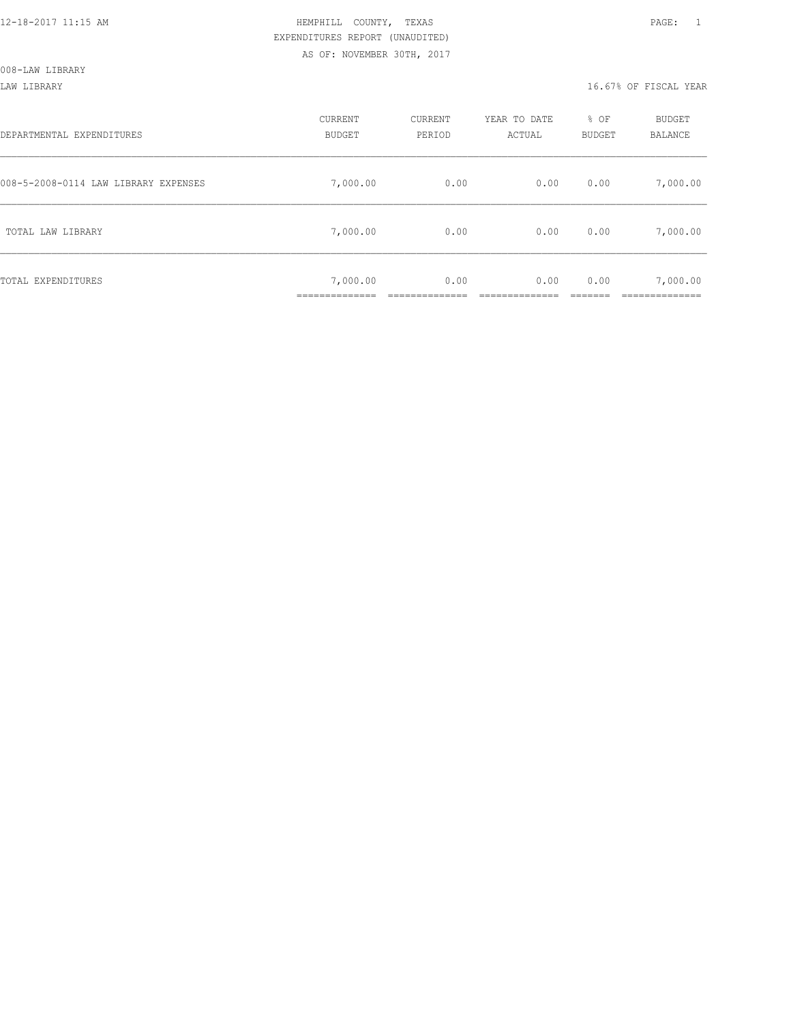LAW LIBRARY 16.67% OF FISCAL YEAR

| DEPARTMENTAL EXPENDITURES            | CURRENT<br><b>BUDGET</b> | CURRENT<br>PERIOD | YEAR TO DATE<br>ACTUAL | % OF<br>BUDGET | BUDGET<br>BALANCE |
|--------------------------------------|--------------------------|-------------------|------------------------|----------------|-------------------|
| 008-5-2008-0114 LAW LIBRARY EXPENSES | 7,000.00                 | 0.00              | 0.00                   | 0.00           | 7,000.00          |
| TOTAL LAW LIBRARY                    | 7,000.00                 | 0.00              | 0.00                   | 0.00           | 7,000.00          |
| TOTAL EXPENDITURES                   | 7,000.00<br>___________  | 0.00              | 0.00                   | 0.00           | 7,000.00          |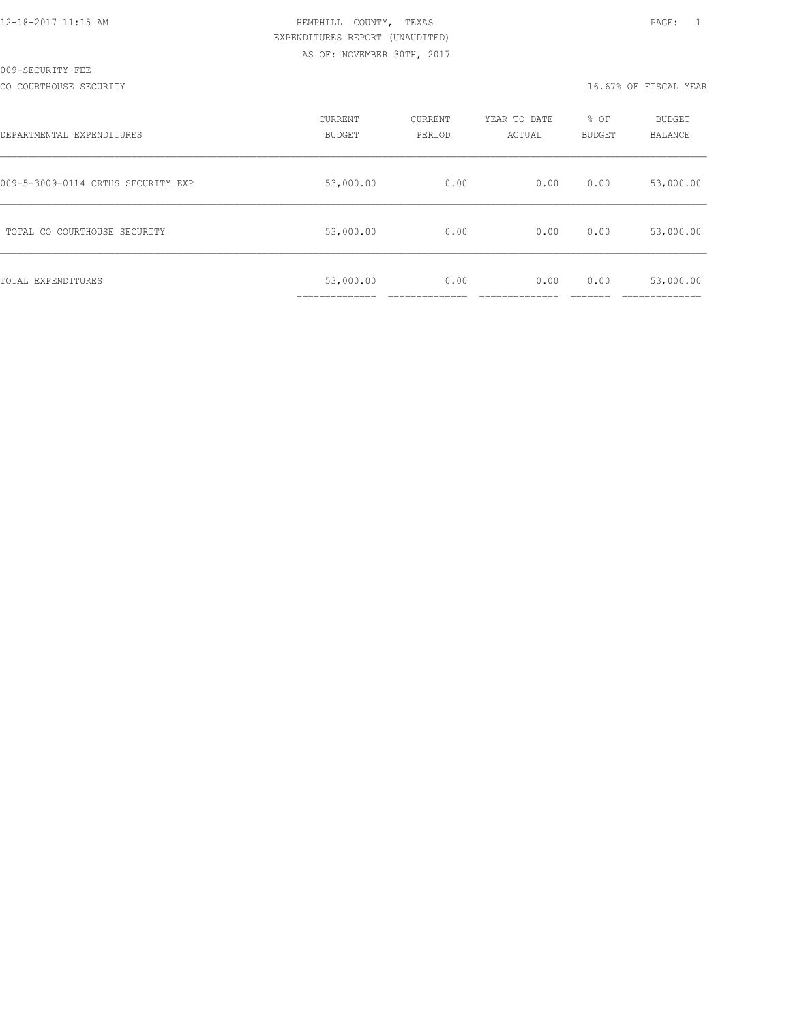|  |  |  |  | 12-18-2017 11:15 AM |
|--|--|--|--|---------------------|
|  |  |  |  |                     |

## HEMPHILL COUNTY, TEXAS **1200 PAGE:** 1 EXPENDITURES REPORT (UNAUDITED) AS OF: NOVEMBER 30TH, 2017

#### CO COURTHOUSE SECURITY CONSULTED AND RELEASE OF SECOND ASSESSMENT OF THE SECOND METALLY RELEASE OF FISCAL YEAR

| DEPARTMENTAL EXPENDITURES          | CURRENT<br><b>BUDGET</b>                   | CURRENT<br>PERIOD | YEAR TO DATE<br>ACTUAL | % OF<br>BUDGET | <b>BUDGET</b><br>BALANCE |
|------------------------------------|--------------------------------------------|-------------------|------------------------|----------------|--------------------------|
| 009-5-3009-0114 CRTHS SECURITY EXP | 53,000.00                                  | 0.00              | 0.00                   | 0.00           | 53,000.00                |
| TOTAL CO COURTHOUSE SECURITY       | 53,000.00                                  | 0.00              | 0.00                   | 0.00           | 53,000.00                |
| TOTAL EXPENDITURES                 | 53,000.00<br>. _ _ _ _ _ _ _ _ _ _ _ _ _ _ | 0.00              | 0.00                   | 0.00           | 53,000.00                |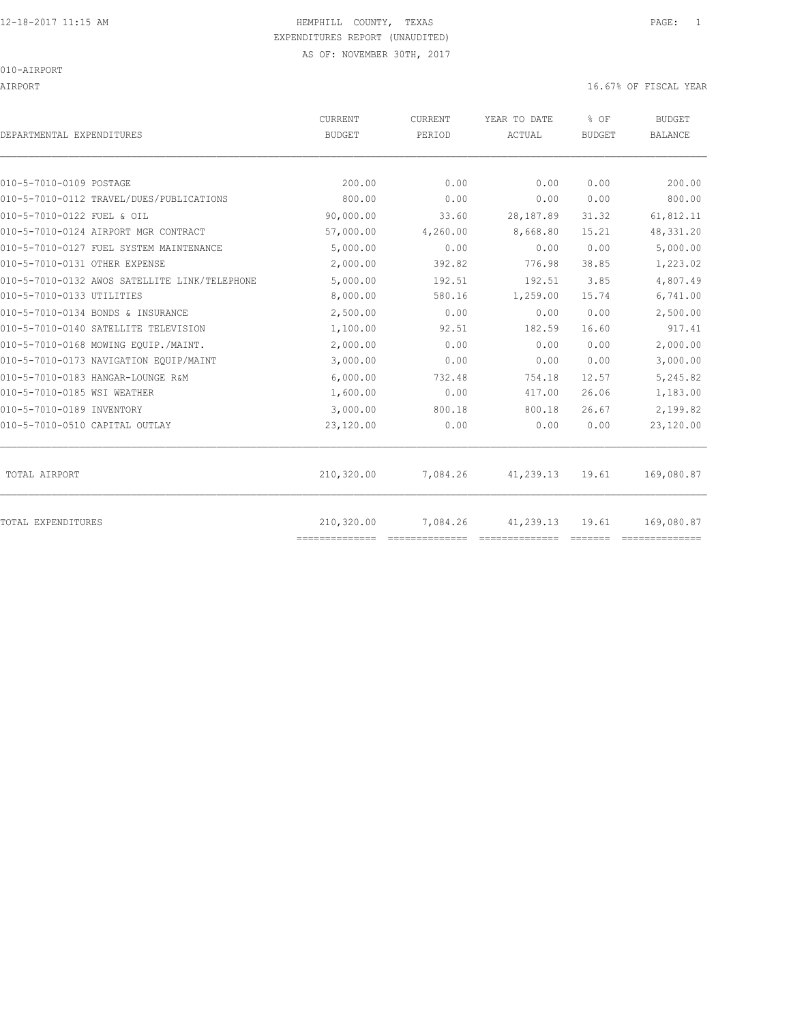AIRPORT 16.67% OF FISCAL YEAR

| DEPARTMENTAL EXPENDITURES                     | <b>CURRENT</b><br><b>BUDGET</b> | CURRENT<br>PERIOD | YEAR TO DATE<br>ACTUAL | % OF<br><b>BUDGET</b> | <b>BUDGET</b><br><b>BALANCE</b> |
|-----------------------------------------------|---------------------------------|-------------------|------------------------|-----------------------|---------------------------------|
| 010-5-7010-0109 POSTAGE                       | 200.00                          | 0.00              | 0.00                   | 0.00                  | 200.00                          |
| 010-5-7010-0112 TRAVEL/DUES/PUBLICATIONS      | 800.00                          | 0.00              | 0.00                   | 0.00                  | 800.00                          |
| 010-5-7010-0122 FUEL & OIL                    | 90,000.00                       | 33.60             | 28,187.89              | 31.32                 | 61,812.11                       |
| 010-5-7010-0124 AIRPORT MGR CONTRACT          | 57,000.00                       | 4,260.00          | 8,668.80               | 15.21                 | 48, 331.20                      |
| 010-5-7010-0127 FUEL SYSTEM MAINTENANCE       | 5,000.00                        | 0.00              | 0.00                   | 0.00                  | 5,000.00                        |
| 010-5-7010-0131 OTHER EXPENSE                 | 2,000.00                        | 392.82            | 776.98                 | 38.85                 | 1,223.02                        |
| 010-5-7010-0132 AWOS SATELLITE LINK/TELEPHONE | 5,000.00                        | 192.51            | 192.51                 | 3.85                  | 4,807.49                        |
| 010-5-7010-0133 UTILITIES                     | 8,000.00                        | 580.16            | 1,259.00               | 15.74                 | 6,741.00                        |
| 010-5-7010-0134 BONDS & INSURANCE             | 2,500.00                        | 0.00              | 0.00                   | 0.00                  | 2,500.00                        |
| 010-5-7010-0140 SATELLITE TELEVISION          | 1,100.00                        | 92.51             | 182.59                 | 16.60                 | 917.41                          |
| 010-5-7010-0168 MOWING EOUIP./MAINT.          | 2,000.00                        | 0.00              | 0.00                   | 0.00                  | 2,000.00                        |
| 010-5-7010-0173 NAVIGATION EQUIP/MAINT        | 3,000.00                        | 0.00              | 0.00                   | 0.00                  | 3,000.00                        |
| 010-5-7010-0183 HANGAR-LOUNGE R&M             | 6,000.00                        | 732.48            | 754.18                 | 12.57                 | 5,245.82                        |
| 010-5-7010-0185 WSI WEATHER                   | 1,600.00                        | 0.00              | 417.00                 | 26.06                 | 1,183.00                        |
| 010-5-7010-0189 INVENTORY                     | 3,000.00                        | 800.18            | 800.18                 | 26.67                 | 2,199.82                        |
| 010-5-7010-0510 CAPITAL OUTLAY                | 23,120.00                       | 0.00              | 0.00                   | 0.00                  | 23,120.00                       |
| TOTAL AIRPORT                                 | 210,320.00                      | 7,084.26          | 41,239.13              | 19.61                 | 169,080.87                      |
| TOTAL EXPENDITURES                            | 210,320.00<br>==============    | 7,084.26          | 41,239.13              | 19.61                 | 169,080.87                      |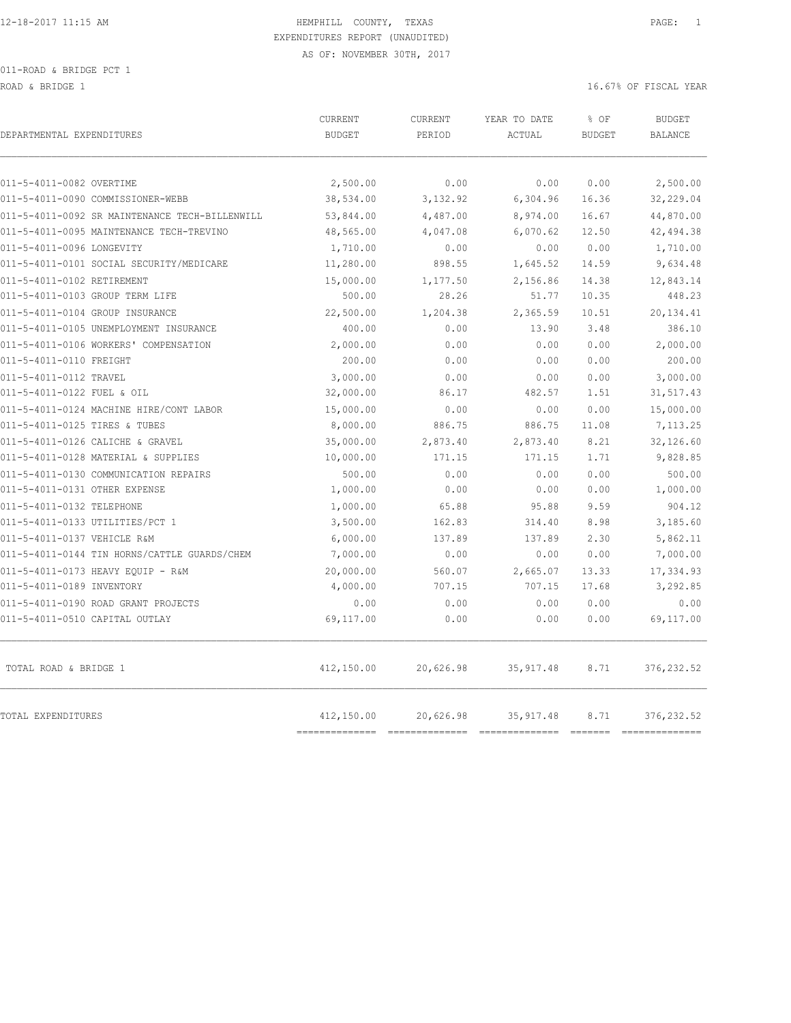ROAD & BRIDGE 1 16.67% OF FISCAL YEAR (16.67% OF FISCAL YEAR)

| DEPARTMENTAL EXPENDITURES                      | CURRENT<br><b>BUDGET</b> | CURRENT<br>PERIOD | YEAR TO DATE<br>ACTUAL | % OF<br><b>BUDGET</b> | <b>BUDGET</b><br><b>BALANCE</b> |
|------------------------------------------------|--------------------------|-------------------|------------------------|-----------------------|---------------------------------|
| 011-5-4011-0082 OVERTIME                       | 2,500.00                 | 0.00              | 0.00                   | 0.00                  | 2,500.00                        |
| 011-5-4011-0090 COMMISSIONER-WEBB              | 38,534.00                | 3,132.92          | 6,304.96               | 16.36                 | 32,229.04                       |
| 011-5-4011-0092 SR MAINTENANCE TECH-BILLENWILL | 53,844.00                | 4,487.00          | 8,974.00               | 16.67                 | 44,870.00                       |
| 011-5-4011-0095 MAINTENANCE TECH-TREVINO       | 48,565.00                | 4,047.08          | 6,070.62               | 12.50                 | 42,494.38                       |
| 011-5-4011-0096 LONGEVITY                      | 1,710.00                 | 0.00              | 0.00                   | 0.00                  | 1,710.00                        |
| 011-5-4011-0101 SOCIAL SECURITY/MEDICARE       | 11,280.00                | 898.55            | 1,645.52               | 14.59                 | 9,634.48                        |
| 011-5-4011-0102 RETIREMENT                     | 15,000.00                | 1,177.50          | 2,156.86               | 14.38                 | 12,843.14                       |
| 011-5-4011-0103 GROUP TERM LIFE                | 500.00                   | 28.26             | 51.77                  | 10.35                 | 448.23                          |
| 011-5-4011-0104 GROUP INSURANCE                | 22,500.00                | 1,204.38          | 2,365.59               | 10.51                 | 20,134.41                       |
| 011-5-4011-0105 UNEMPLOYMENT INSURANCE         | 400.00                   | 0.00              | 13.90                  | 3.48                  | 386.10                          |
| 011-5-4011-0106 WORKERS' COMPENSATION          | 2,000.00                 | 0.00              | 0.00                   | 0.00                  | 2,000.00                        |
| 011-5-4011-0110 FREIGHT                        | 200.00                   | 0.00              | 0.00                   | 0.00                  | 200.00                          |
| 011-5-4011-0112 TRAVEL                         | 3,000.00                 | 0.00              | 0.00                   | 0.00                  | 3,000.00                        |
| 011-5-4011-0122 FUEL & OIL                     | 32,000.00                | 86.17             | 482.57                 | 1.51                  | 31,517.43                       |
| 011-5-4011-0124 MACHINE HIRE/CONT LABOR        | 15,000.00                | 0.00              | 0.00                   | 0.00                  | 15,000.00                       |
| 011-5-4011-0125 TIRES & TUBES                  | 8,000.00                 | 886.75            | 886.75                 | 11.08                 | 7,113.25                        |
| 011-5-4011-0126 CALICHE & GRAVEL               | 35,000.00                | 2,873.40          | 2,873.40               | 8.21                  | 32,126.60                       |
| 011-5-4011-0128 MATERIAL & SUPPLIES            | 10,000.00                | 171.15            | 171.15                 | 1.71                  | 9,828.85                        |
| 011-5-4011-0130 COMMUNICATION REPAIRS          | 500.00                   | 0.00              | 0.00                   | 0.00                  | 500.00                          |
| 011-5-4011-0131 OTHER EXPENSE                  | 1,000.00                 | 0.00              | 0.00                   | 0.00                  | 1,000.00                        |
| 011-5-4011-0132 TELEPHONE                      | 1,000.00                 | 65.88             | 95.88                  | 9.59                  | 904.12                          |
| 011-5-4011-0133 UTILITIES/PCT 1                | 3,500.00                 | 162.83            | 314.40                 | 8.98                  | 3,185.60                        |
| 011-5-4011-0137 VEHICLE R&M                    | 6,000.00                 | 137.89            | 137.89                 | 2.30                  | 5,862.11                        |
| 011-5-4011-0144 TIN HORNS/CATTLE GUARDS/CHEM   | 7,000.00                 | 0.00              | 0.00                   | 0.00                  | 7,000.00                        |
| 011-5-4011-0173 HEAVY EQUIP - R&M              | 20,000.00                | 560.07            | 2,665.07               | 13.33                 | 17,334.93                       |
| 011-5-4011-0189 INVENTORY                      | 4,000.00                 | 707.15            | 707.15                 | 17.68                 | 3,292.85                        |
| 011-5-4011-0190 ROAD GRANT PROJECTS            | 0.00                     | 0.00              | 0.00                   | 0.00                  | 0.00                            |
| 011-5-4011-0510 CAPITAL OUTLAY                 | 69,117.00                | 0.00              | 0.00                   | 0.00                  | 69,117.00                       |
| TOTAL ROAD & BRIDGE 1                          | 412,150.00               | 20,626.98         | 35, 917.48             | 8.71                  | 376, 232.52                     |
| <b>TOTAL EXPENDITURES</b>                      | 412,150.00               | 20,626.98         | 35, 917.48             | 8.71                  | 376, 232.52                     |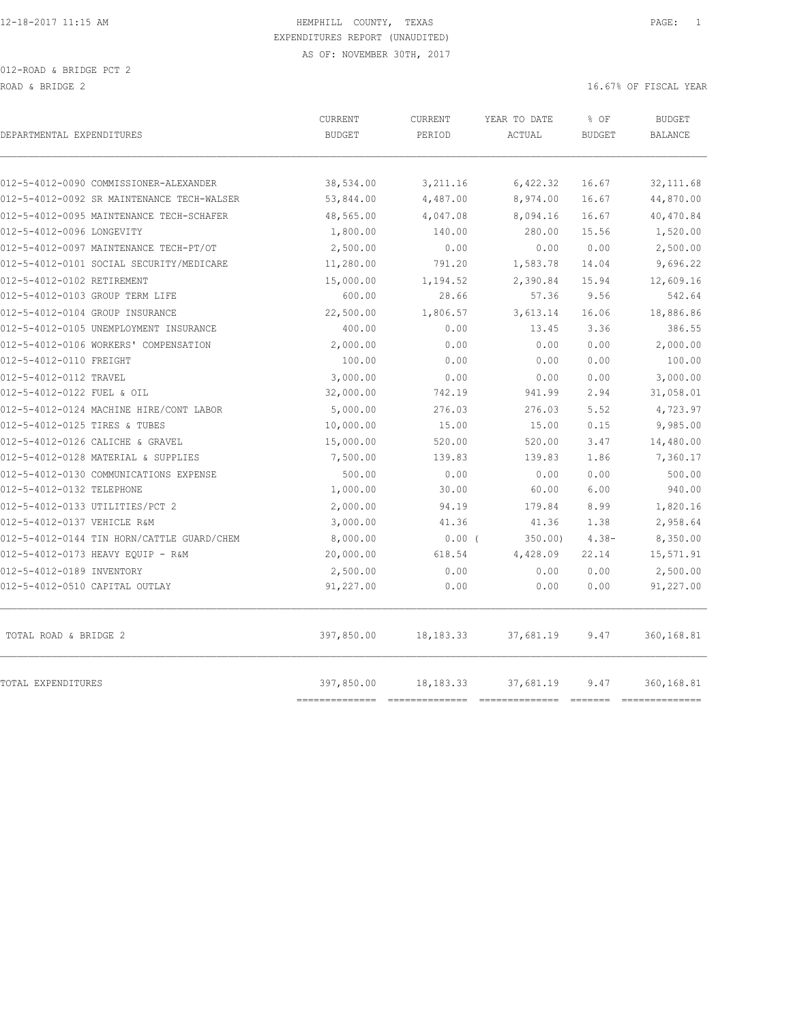|                                            | <b>CURRENT</b>             | <b>CURRENT</b> | YEAR TO DATE | % OF          | <b>BUDGET</b>                 |
|--------------------------------------------|----------------------------|----------------|--------------|---------------|-------------------------------|
| DEPARTMENTAL EXPENDITURES                  | <b>BUDGET</b>              | PERIOD         | ACTUAL       | <b>BUDGET</b> | <b>BALANCE</b>                |
|                                            |                            |                |              |               |                               |
| 012-5-4012-0090 COMMISSIONER-ALEXANDER     | 38,534.00                  | 3,211.16       | 6,422.32     | 16.67         | 32, 111.68                    |
| 012-5-4012-0092 SR MAINTENANCE TECH-WALSER | 53,844.00                  | 4,487.00       | 8,974.00     | 16.67         | 44,870.00                     |
| 012-5-4012-0095 MAINTENANCE TECH-SCHAFER   | 48,565.00                  | 4,047.08       | 8,094.16     | 16.67         | 40,470.84                     |
| 012-5-4012-0096 LONGEVITY                  | 1,800.00                   | 140.00         | 280.00       | 15.56         | 1,520.00                      |
| 012-5-4012-0097 MAINTENANCE TECH-PT/OT     | 2,500.00                   | 0.00           | 0.00         | 0.00          | 2,500.00                      |
| 012-5-4012-0101 SOCIAL SECURITY/MEDICARE   | 11,280.00                  | 791.20         | 1,583.78     | 14.04         | 9,696.22                      |
| 012-5-4012-0102 RETIREMENT                 | 15,000.00                  | 1,194.52       | 2,390.84     | 15.94         | 12,609.16                     |
| 012-5-4012-0103 GROUP TERM LIFE            | 600.00                     | 28.66          | 57.36        | 9.56          | 542.64                        |
| 012-5-4012-0104 GROUP INSURANCE            | 22,500.00                  | 1,806.57       | 3,613.14     | 16.06         | 18,886.86                     |
| 012-5-4012-0105 UNEMPLOYMENT INSURANCE     | 400.00                     | 0.00           | 13.45        | 3.36          | 386.55                        |
| 012-5-4012-0106 WORKERS' COMPENSATION      | 2,000.00                   | 0.00           | 0.00         | 0.00          | 2,000.00                      |
| 012-5-4012-0110 FREIGHT                    | 100.00                     | 0.00           | 0.00         | 0.00          | 100.00                        |
| 012-5-4012-0112 TRAVEL                     | 3,000.00                   | 0.00           | 0.00         | 0.00          | 3,000.00                      |
| 012-5-4012-0122 FUEL & OIL                 | 32,000.00                  | 742.19         | 941.99       | 2.94          | 31,058.01                     |
| 012-5-4012-0124 MACHINE HIRE/CONT LABOR    | 5,000.00                   | 276.03         | 276.03       | 5.52          | 4,723.97                      |
| 012-5-4012-0125 TIRES & TUBES              | 10,000.00                  | 15.00          | 15.00        | 0.15          | 9,985.00                      |
| 012-5-4012-0126 CALICHE & GRAVEL           | 15,000.00                  | 520.00         | 520.00       | 3.47          | 14,480.00                     |
| 012-5-4012-0128 MATERIAL & SUPPLIES        | 7,500.00                   | 139.83         | 139.83       | 1.86          | 7,360.17                      |
| 012-5-4012-0130 COMMUNICATIONS EXPENSE     | 500.00                     | 0.00           | 0.00         | 0.00          | 500.00                        |
| 012-5-4012-0132 TELEPHONE                  | 1,000.00                   | 30.00          | 60.00        | 6.00          | 940.00                        |
| 012-5-4012-0133 UTILITIES/PCT 2            | 2,000.00                   | 94.19          | 179.84       | 8.99          | 1,820.16                      |
| 012-5-4012-0137 VEHICLE R&M                | 3,000.00                   | 41.36          | 41.36        | 1.38          | 2,958.64                      |
| 012-5-4012-0144 TIN HORN/CATTLE GUARD/CHEM | 8,000.00                   | $0.00$ (       | 350.00)      | $4.38 -$      | 8,350.00                      |
| 012-5-4012-0173 HEAVY EQUIP - R&M          | 20,000.00                  | 618.54         | 4,428.09     | 22.14         | 15,571.91                     |
| 012-5-4012-0189 INVENTORY                  | 2,500.00                   | 0.00           | 0.00         | 0.00          | 2,500.00                      |
| 012-5-4012-0510 CAPITAL OUTLAY             | 91,227.00                  | 0.00           | 0.00         | 0.00          | 91,227.00                     |
| TOTAL ROAD & BRIDGE 2                      | 397,850.00                 | 18, 183. 33    | 37,681.19    | 9.47          | 360,168.81                    |
| TOTAL EXPENDITURES                         | 397,850.00<br>------------ | 18, 183. 33    | 37,681.19    | 9.47          | 360,168.81<br>--------------- |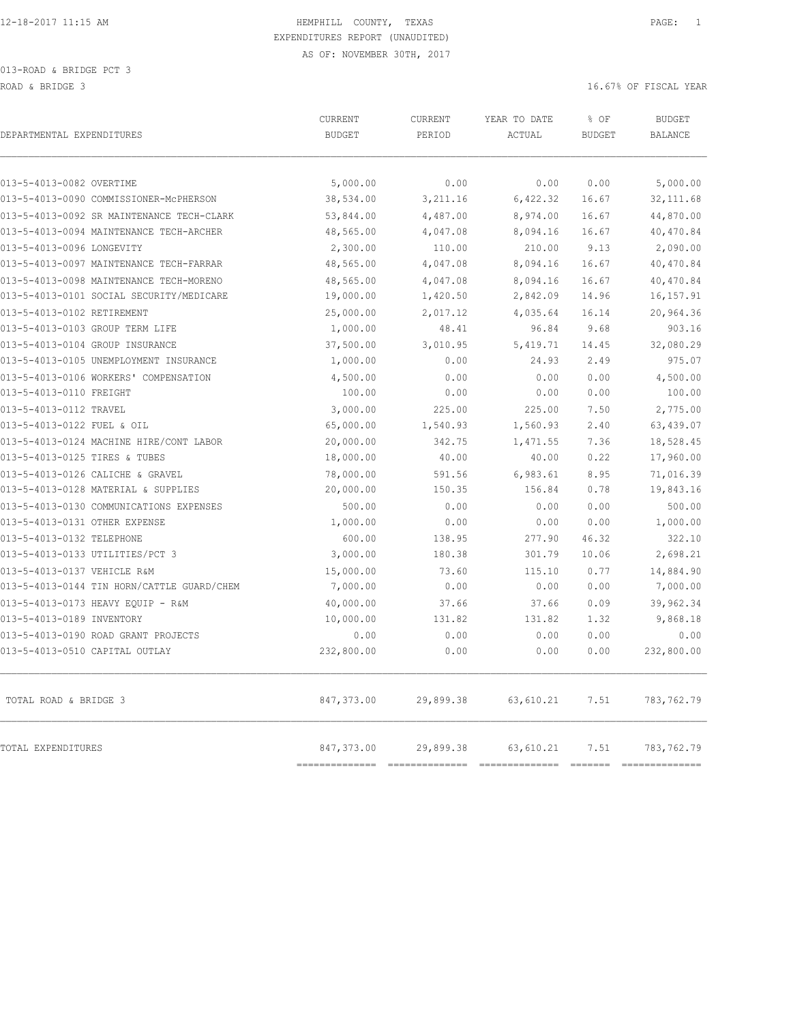| DEPARTMENTAL EXPENDITURES                  | CURRENT<br><b>BUDGET</b> | CURRENT<br>PERIOD | YEAR TO DATE<br>ACTUAL | % OF<br><b>BUDGET</b> | <b>BUDGET</b><br><b>BALANCE</b> |
|--------------------------------------------|--------------------------|-------------------|------------------------|-----------------------|---------------------------------|
| 013-5-4013-0082 OVERTIME                   | 5,000.00                 | 0.00              | 0.00                   | 0.00                  | 5,000.00                        |
| 013-5-4013-0090 COMMISSIONER-McPHERSON     | 38,534.00                | 3,211.16          | 6,422.32               | 16.67                 | 32, 111.68                      |
| 013-5-4013-0092 SR MAINTENANCE TECH-CLARK  | 53,844.00                | 4,487.00          | 8,974.00               | 16.67                 | 44,870.00                       |
| 013-5-4013-0094 MAINTENANCE TECH-ARCHER    | 48,565.00                | 4,047.08          | 8,094.16               | 16.67                 | 40,470.84                       |
| 013-5-4013-0096 LONGEVITY                  | 2,300.00                 | 110.00            | 210.00                 | 9.13                  | 2,090.00                        |
| 013-5-4013-0097 MAINTENANCE TECH-FARRAR    | 48,565.00                | 4,047.08          | 8,094.16               | 16.67                 | 40,470.84                       |
| 013-5-4013-0098 MAINTENANCE TECH-MORENO    | 48,565.00                | 4,047.08          | 8,094.16               | 16.67                 | 40,470.84                       |
| 013-5-4013-0101 SOCIAL SECURITY/MEDICARE   | 19,000.00                | 1,420.50          | 2,842.09               | 14.96                 | 16, 157.91                      |
| 013-5-4013-0102 RETIREMENT                 | 25,000.00                | 2,017.12          | 4,035.64               | 16.14                 | 20,964.36                       |
| 013-5-4013-0103 GROUP TERM LIFE            | 1,000.00                 | 48.41             | 96.84                  | 9.68                  | 903.16                          |
| 013-5-4013-0104 GROUP INSURANCE            | 37,500.00                | 3,010.95          | 5,419.71               | 14.45                 | 32,080.29                       |
| 013-5-4013-0105 UNEMPLOYMENT INSURANCE     | 1,000.00                 | 0.00              | 24.93                  | 2.49                  | 975.07                          |
| 013-5-4013-0106 WORKERS' COMPENSATION      | 4,500.00                 | 0.00              | 0.00                   | 0.00                  | 4,500.00                        |
| 013-5-4013-0110 FREIGHT                    | 100.00                   | 0.00              | 0.00                   | 0.00                  | 100.00                          |
| 013-5-4013-0112 TRAVEL                     | 3,000.00                 | 225.00            | 225.00                 | 7.50                  | 2,775.00                        |
| 013-5-4013-0122 FUEL & OIL                 | 65,000.00                | 1,540.93          | 1,560.93               | 2.40                  | 63,439.07                       |
| 013-5-4013-0124 MACHINE HIRE/CONT LABOR    | 20,000.00                | 342.75            | 1,471.55               | 7.36                  | 18,528.45                       |
| 013-5-4013-0125 TIRES & TUBES              | 18,000.00                | 40.00             | 40.00                  | 0.22                  | 17,960.00                       |
| 013-5-4013-0126 CALICHE & GRAVEL           | 78,000.00                | 591.56            | 6,983.61               | 8.95                  | 71,016.39                       |
| 013-5-4013-0128 MATERIAL & SUPPLIES        | 20,000.00                | 150.35            | 156.84                 | 0.78                  | 19,843.16                       |
| 013-5-4013-0130 COMMUNICATIONS EXPENSES    | 500.00                   | 0.00              | 0.00                   | 0.00                  | 500.00                          |
| 013-5-4013-0131 OTHER EXPENSE              | 1,000.00                 | 0.00              | 0.00                   | 0.00                  | 1,000.00                        |
| 013-5-4013-0132 TELEPHONE                  | 600.00                   | 138.95            | 277.90                 | 46.32                 | 322.10                          |
| 013-5-4013-0133 UTILITIES/PCT 3            | 3,000.00                 | 180.38            | 301.79                 | 10.06                 | 2,698.21                        |
| 013-5-4013-0137 VEHICLE R&M                | 15,000.00                | 73.60             | 115.10                 | 0.77                  | 14,884.90                       |
| 013-5-4013-0144 TIN HORN/CATTLE GUARD/CHEM | 7,000.00                 | 0.00              | 0.00                   | 0.00                  | 7,000.00                        |
| 013-5-4013-0173 HEAVY EQUIP - R&M          | 40,000.00                | 37.66             | 37.66                  | 0.09                  | 39,962.34                       |
| 013-5-4013-0189 INVENTORY                  | 10,000.00                | 131.82            | 131.82                 | 1.32                  | 9,868.18                        |
| 013-5-4013-0190 ROAD GRANT PROJECTS        | 0.00                     | 0.00              | 0.00                   | 0.00                  | 0.00                            |
| 013-5-4013-0510 CAPITAL OUTLAY             | 232,800.00               | 0.00              | 0.00                   | 0.00                  | 232,800.00                      |
| TOTAL ROAD & BRIDGE 3                      | 847,373.00               | 29,899.38         | 63,610.21              | 7.51                  | 783,762.79                      |
| TOTAL EXPENDITURES                         | 847,373.00               | 29,899.38         | 63,610.21              | 7.51                  | 783,762.79                      |

============== ============== ============== ======= ==============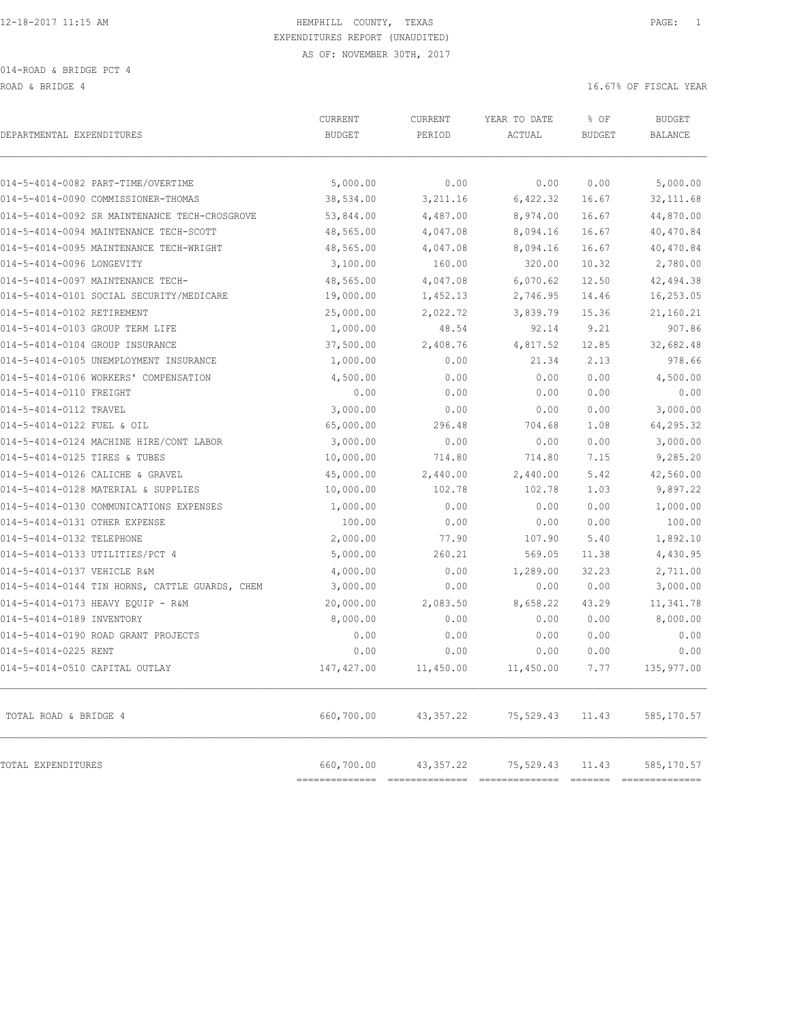ROAD & BRIDGE 4 16.67% OF FISCAL YEAR (1999) AND ROAD & BRIDGE 4

| DEPARTMENTAL EXPENDITURES                                                               | CURRENT<br><b>BUDGET</b> | CURRENT<br>PERIOD    | YEAR TO DATE<br>ACTUAL | % OF<br><b>BUDGET</b> | <b>BUDGET</b><br>BALANCE |
|-----------------------------------------------------------------------------------------|--------------------------|----------------------|------------------------|-----------------------|--------------------------|
|                                                                                         |                          |                      |                        |                       |                          |
| 014-5-4014-0082 PART-TIME/OVERTIME<br>014-5-4014-0090 COMMISSIONER-THOMAS               | 5,000.00                 | 0.00                 | 0.00                   | 0.00                  | 5,000.00                 |
|                                                                                         | 38,534.00                | 3,211.16             | 6,422.32               | 16.67                 | 32, 111.68               |
| 014-5-4014-0092 SR MAINTENANCE TECH-CROSGROVE<br>014-5-4014-0094 MAINTENANCE TECH-SCOTT | 53,844.00<br>48,565.00   | 4,487.00<br>4,047.08 | 8,974.00<br>8,094.16   | 16.67<br>16.67        | 44,870.00<br>40,470.84   |
| 014-5-4014-0095 MAINTENANCE TECH-WRIGHT                                                 |                          |                      |                        |                       |                          |
| 014-5-4014-0096 LONGEVITY                                                               | 48,565.00<br>3,100.00    | 4,047.08<br>160.00   | 8,094.16<br>320.00     | 16.67<br>10.32        | 40,470.84<br>2,780.00    |
|                                                                                         |                          |                      |                        |                       |                          |
| 014-5-4014-0097 MAINTENANCE TECH-<br>014-5-4014-0101 SOCIAL SECURITY/MEDICARE           | 48,565.00<br>19,000.00   | 4,047.08             | 6,070.62               | 12.50                 | 42,494.38<br>16,253.05   |
|                                                                                         | 25,000.00                | 1,452.13             | 2,746.95               | 14.46                 |                          |
| 014-5-4014-0102 RETIREMENT<br>014-5-4014-0103 GROUP TERM LIFE                           | 1,000.00                 | 2,022.72<br>48.54    | 3,839.79<br>92.14      | 15.36<br>9.21         | 21,160.21<br>907.86      |
|                                                                                         |                          |                      |                        |                       |                          |
| 014-5-4014-0104 GROUP INSURANCE<br>014-5-4014-0105 UNEMPLOYMENT INSURANCE               | 37,500.00<br>1,000.00    | 2,408.76<br>0.00     | 4,817.52<br>21.34      | 12.85<br>2.13         | 32,682.48<br>978.66      |
|                                                                                         | 4,500.00                 |                      |                        |                       |                          |
| 014-5-4014-0106 WORKERS' COMPENSATION<br>014-5-4014-0110 FREIGHT                        | 0.00                     | 0.00<br>0.00         | 0.00<br>0.00           | 0.00<br>0.00          | 4,500.00<br>0.00         |
| 014-5-4014-0112 TRAVEL                                                                  | 3,000.00                 | 0.00                 | 0.00                   | 0.00                  | 3,000.00                 |
| 014-5-4014-0122 FUEL & OIL                                                              | 65,000.00                | 296.48               | 704.68                 | 1.08                  | 64,295.32                |
| 014-5-4014-0124 MACHINE HIRE/CONT LABOR                                                 | 3,000.00                 | 0.00                 | 0.00                   | 0.00                  | 3,000.00                 |
| 014-5-4014-0125 TIRES & TUBES                                                           | 10,000.00                | 714.80               | 714.80                 | 7.15                  | 9,285.20                 |
| 014-5-4014-0126 CALICHE & GRAVEL                                                        | 45,000.00                | 2,440.00             | 2,440.00               | 5.42                  | 42,560.00                |
| 014-5-4014-0128 MATERIAL & SUPPLIES                                                     | 10,000.00                | 102.78               | 102.78                 | 1.03                  | 9,897.22                 |
| 014-5-4014-0130 COMMUNICATIONS EXPENSES                                                 | 1,000.00                 | 0.00                 | 0.00                   | 0.00                  | 1,000.00                 |
| 014-5-4014-0131 OTHER EXPENSE                                                           | 100.00                   | 0.00                 | 0.00                   | 0.00                  | 100.00                   |
| 014-5-4014-0132 TELEPHONE                                                               | 2,000.00                 |                      | 107.90                 | 5.40                  | 1,892.10                 |
| 014-5-4014-0133 UTILITIES/PCT 4                                                         | 5,000.00                 | 77.90<br>260.21      | 569.05                 | 11.38                 | 4,430.95                 |
| 014-5-4014-0137 VEHICLE R&M                                                             | 4,000.00                 | 0.00                 | 1,289.00               | 32.23                 | 2,711.00                 |
| 014-5-4014-0144 TIN HORNS, CATTLE GUARDS, CHEM                                          | 3,000.00                 | 0.00                 | 0.00                   | 0.00                  | 3,000.00                 |
| 014-5-4014-0173 HEAVY EQUIP - R&M                                                       | 20,000.00                | 2,083.50             | 8,658.22               | 43.29                 | 11,341.78                |
| 014-5-4014-0189 INVENTORY                                                               | 8,000.00                 | 0.00                 | 0.00                   | 0.00                  | 8,000.00                 |
| 014-5-4014-0190 ROAD GRANT PROJECTS                                                     | 0.00                     | 0.00                 | 0.00                   | 0.00                  | 0.00                     |
| 014-5-4014-0225 RENT                                                                    | 0.00                     | 0.00                 | 0.00                   | 0.00                  | 0.00                     |
| 014-5-4014-0510 CAPITAL OUTLAY                                                          | 147, 427.00              | 11,450.00            | 11,450.00              | 7.77                  | 135,977.00               |
| TOTAL ROAD & BRIDGE 4                                                                   | 660,700.00               | 43, 357. 22          | 75,529.43              | 11.43                 | 585,170.57               |
| TOTAL EXPENDITURES                                                                      | 660,700.00               | 43, 357. 22          | 75,529.43 11.43        |                       | 585,170.57               |
|                                                                                         |                          |                      |                        |                       |                          |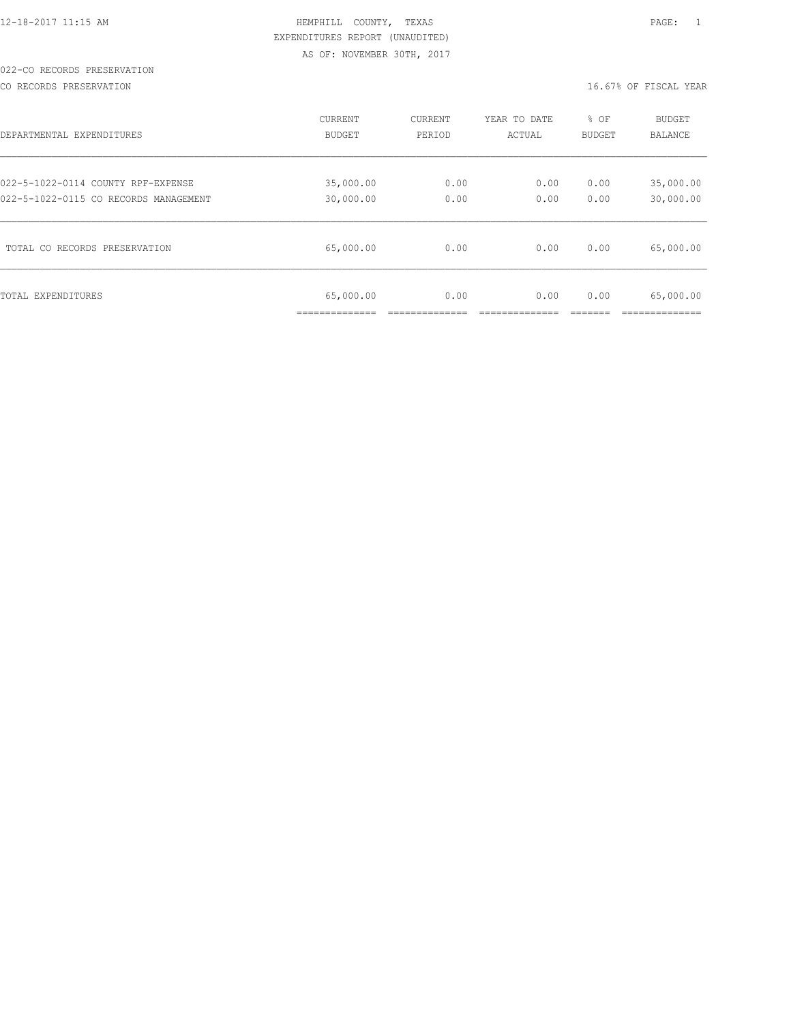## 022-CO RECORDS PRESERVATION

CO RECORDS PRESERVATION **16.67%** OF FISCAL YEAR

| DEPARTMENTAL EXPENDITURES             | CURRENT                     | CURRENT | YEAR TO DATE | % OF   | <b>BUDGET</b>           |
|---------------------------------------|-----------------------------|---------|--------------|--------|-------------------------|
|                                       | BUDGET                      | PERIOD  | ACTUAL       | BUDGET | BALANCE                 |
| 022-5-1022-0114 COUNTY RPF-EXPENSE    | 35,000.00                   | 0.00    | 0.00         | 0.00   | 35,000.00               |
| 022-5-1022-0115 CO RECORDS MANAGEMENT | 30,000.00                   | 0.00    | 0.00         | 0.00   | 30,000.00               |
| TOTAL CO RECORDS PRESERVATION         | 65,000.00                   | 0.00    | 0.00         | 0.00   | 65,000.00               |
| TOTAL EXPENDITURES                    | 65,000.00<br>______________ | 0.00    | 0.00         | 0.00   | 65,000.00<br>__________ |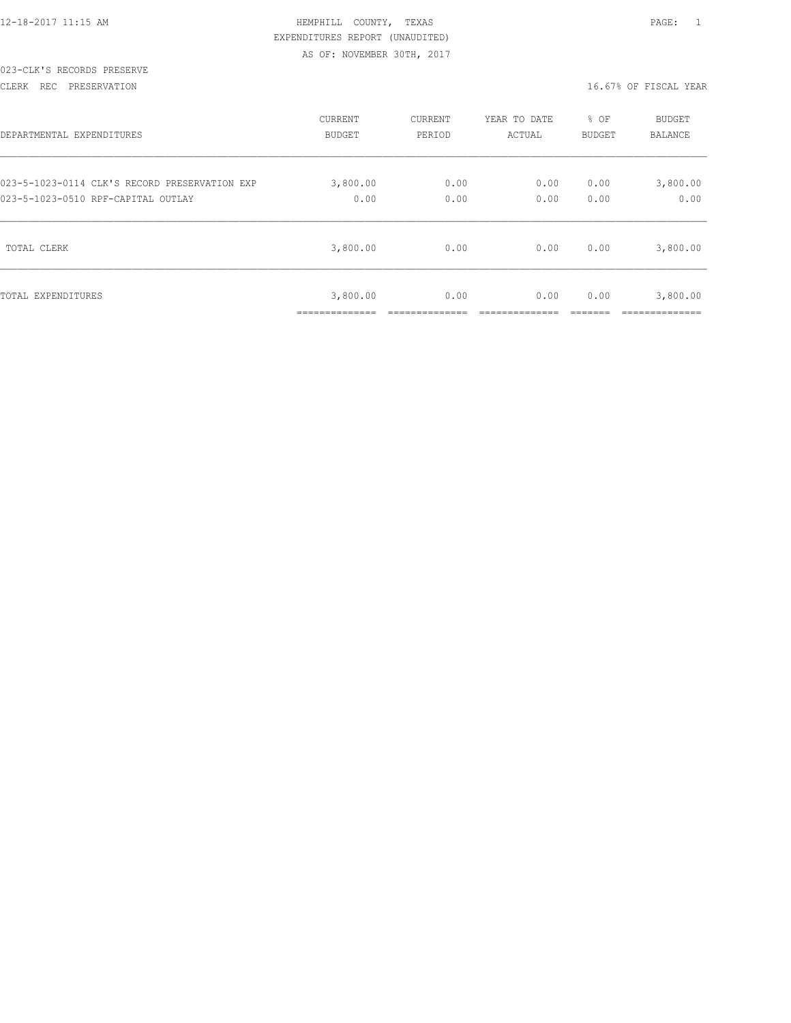|  | 12-18-2017 11:15 AM |  |
|--|---------------------|--|
|  |                     |  |

## HEMPHILL COUNTY, TEXAS **1200 PAGE:** 1 EXPENDITURES REPORT (UNAUDITED) AS OF: NOVEMBER 30TH, 2017

## 023-CLK'S RECORDS PRESERVE

CLERK REC PRESERVATION 16.67% OF FISCAL YEAR

| DEPARTMENTAL EXPENDITURES                     | <b>CURRENT</b>             | CURRENT | YEAR TO DATE | % OF          | <b>BUDGET</b>              |
|-----------------------------------------------|----------------------------|---------|--------------|---------------|----------------------------|
|                                               | <b>BUDGET</b>              | PERIOD  | ACTUAL       | <b>BUDGET</b> | <b>BALANCE</b>             |
| 023-5-1023-0114 CLK'S RECORD PRESERVATION EXP | 3,800.00                   | 0.00    | 0.00         | 0.00          | 3,800.00                   |
| 023-5-1023-0510 RPF-CAPITAL OUTLAY            | 0.00                       | 0.00    | 0.00         | 0.00          | 0.00                       |
| TOTAL CLERK                                   | 3,800.00                   | 0.00    | 0.00         | 0.00          | 3,800.00                   |
| TOTAL EXPENDITURES                            | 3,800.00<br>______________ | 0.00    | 0.00         | 0.00          | 3,800.00<br>-------------- |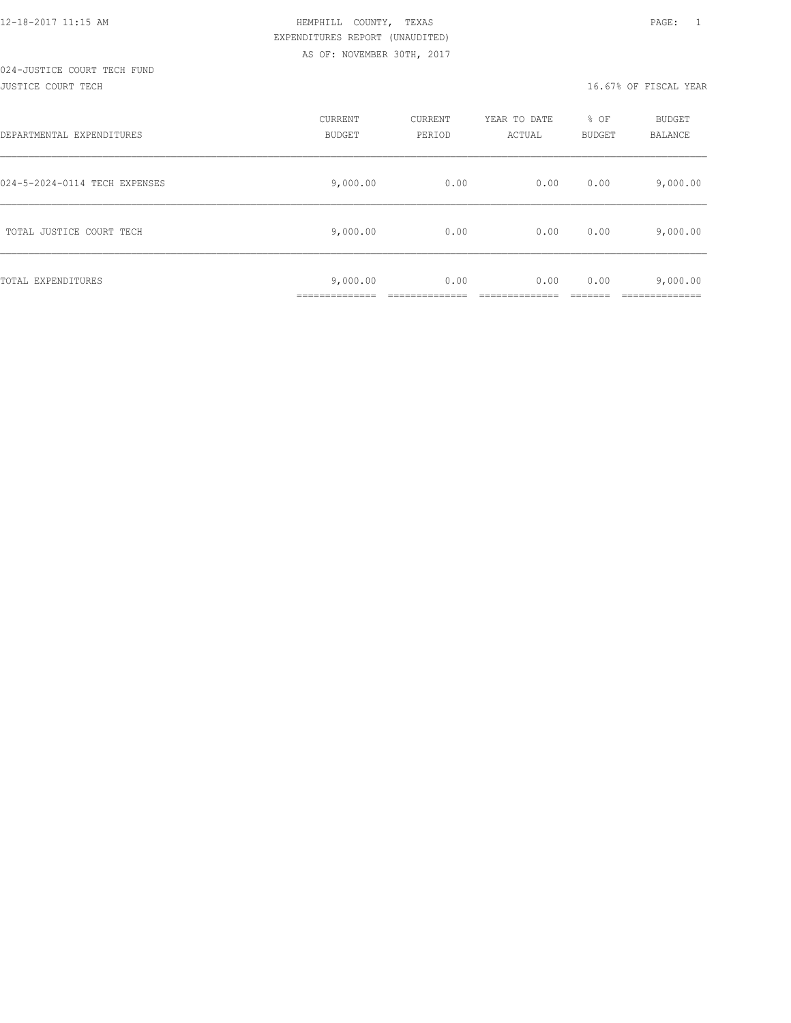# 024-JUSTICE COURT TECH FUND

#### JUSTICE COURT TECH 16.67% OF FISCAL YEAR

| DEPARTMENTAL EXPENDITURES     | CURRENT<br><b>BUDGET</b>  | CURRENT<br>PERIOD | YEAR TO DATE<br>ACTUAL | % OF<br>BUDGET | <b>BUDGET</b><br><b>BALANCE</b> |
|-------------------------------|---------------------------|-------------------|------------------------|----------------|---------------------------------|
| 024-5-2024-0114 TECH EXPENSES | 9,000.00                  | 0.00              | 0.00                   | 0.00           | 9,000.00                        |
| TOTAL JUSTICE COURT TECH      | 9,000.00                  | 0.00              | 0.00                   | 0.00           | 9,000.00                        |
| TOTAL EXPENDITURES            | 9,000.00<br>_____________ | 0.00              | 0.00                   | 0.00           | 9,000.00<br>------------        |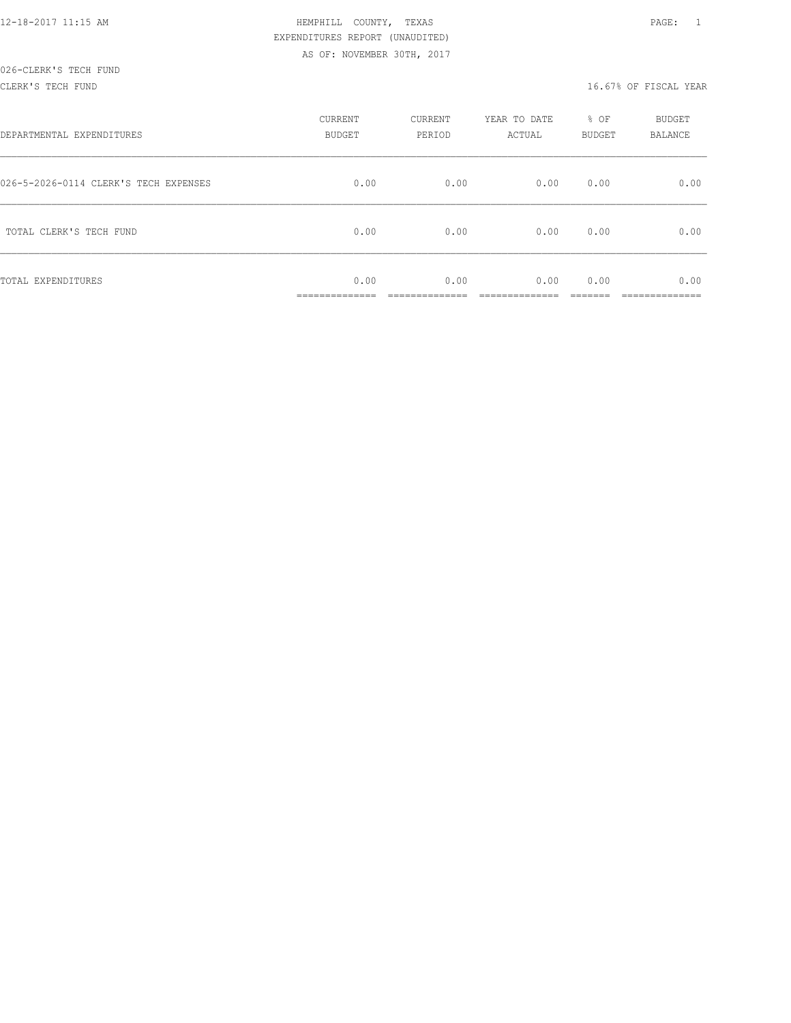| 12-18-2017 11:15 AM |  |
|---------------------|--|

## HEMPHILL COUNTY, TEXAS **12000** 12:15 PAGE: 1 EXPENDITURES REPORT (UNAUDITED) AS OF: NOVEMBER 30TH, 2017

| DEPARTMENTAL EXPENDITURES             | CURRENT<br>BUDGET   | CURRENT<br>PERIOD | YEAR TO DATE<br>ACTUAL | % OF<br>BUDGET | BUDGET<br>BALANCE |
|---------------------------------------|---------------------|-------------------|------------------------|----------------|-------------------|
| 026-5-2026-0114 CLERK'S TECH EXPENSES | 0.00                | 0.00              | 0.00                   | 0.00           | 0.00              |
| TOTAL CLERK'S TECH FUND               | 0.00                | 0.00              | 0.00                   | 0.00           | 0.00              |
| TOTAL EXPENDITURES                    | 0.00<br>___________ | 0.00              | 0.00                   | 0.00           | 0.00              |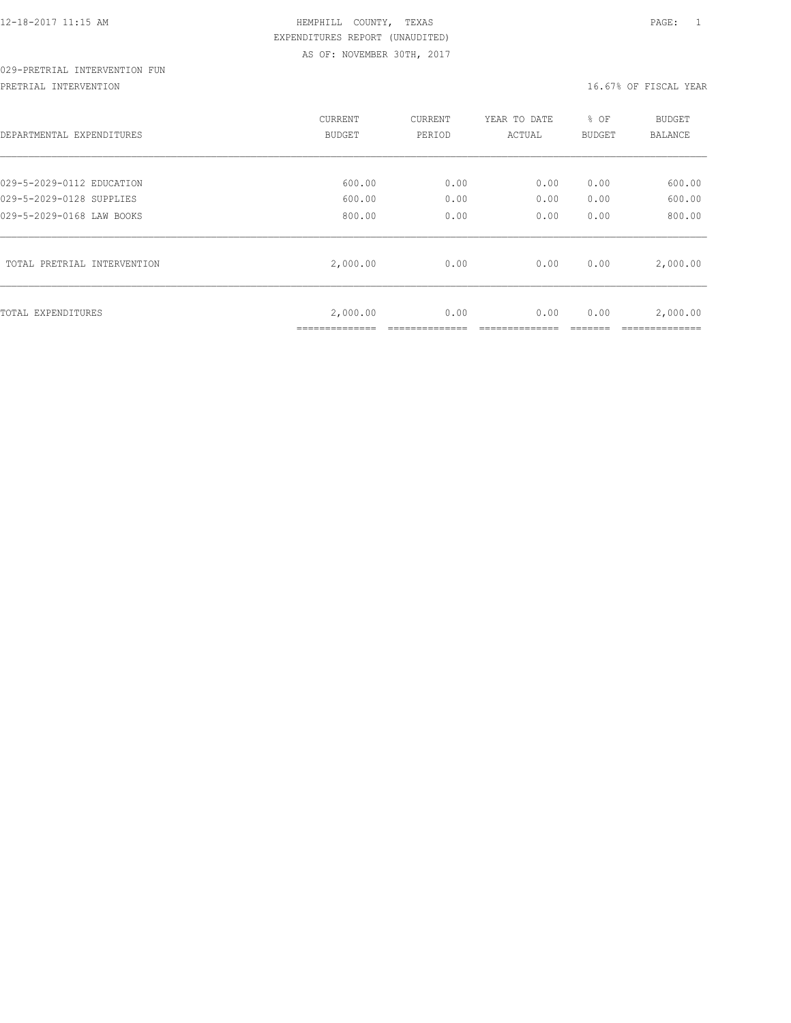## 029-PRETRIAL INTERVENTION FUN

PRETRIAL INTERVENTION **16.67%** OF FISCAL YEAR

| DEPARTMENTAL EXPENDITURES   | CURRENT<br>BUDGET | CURRENT<br>PERIOD | YEAR TO DATE<br>ACTUAL | % OF<br>BUDGET | <b>BUDGET</b><br>BALANCE |
|-----------------------------|-------------------|-------------------|------------------------|----------------|--------------------------|
| 029-5-2029-0112 EDUCATION   | 600.00            | 0.00              | 0.00                   | 0.00           | 600.00                   |
| 029-5-2029-0128 SUPPLIES    | 600.00            | 0.00              | 0.00                   | 0.00           | 600.00                   |
| 029-5-2029-0168 LAW BOOKS   | 800.00            | 0.00              | 0.00                   | 0.00           | 800.00                   |
| TOTAL PRETRIAL INTERVENTION | 2,000.00          | 0.00              | 0.00                   | 0.00           | 2,000.00                 |
| TOTAL EXPENDITURES          | 2,000.00          | 0.00              | 0.00                   | 0.00           | 2,000.00                 |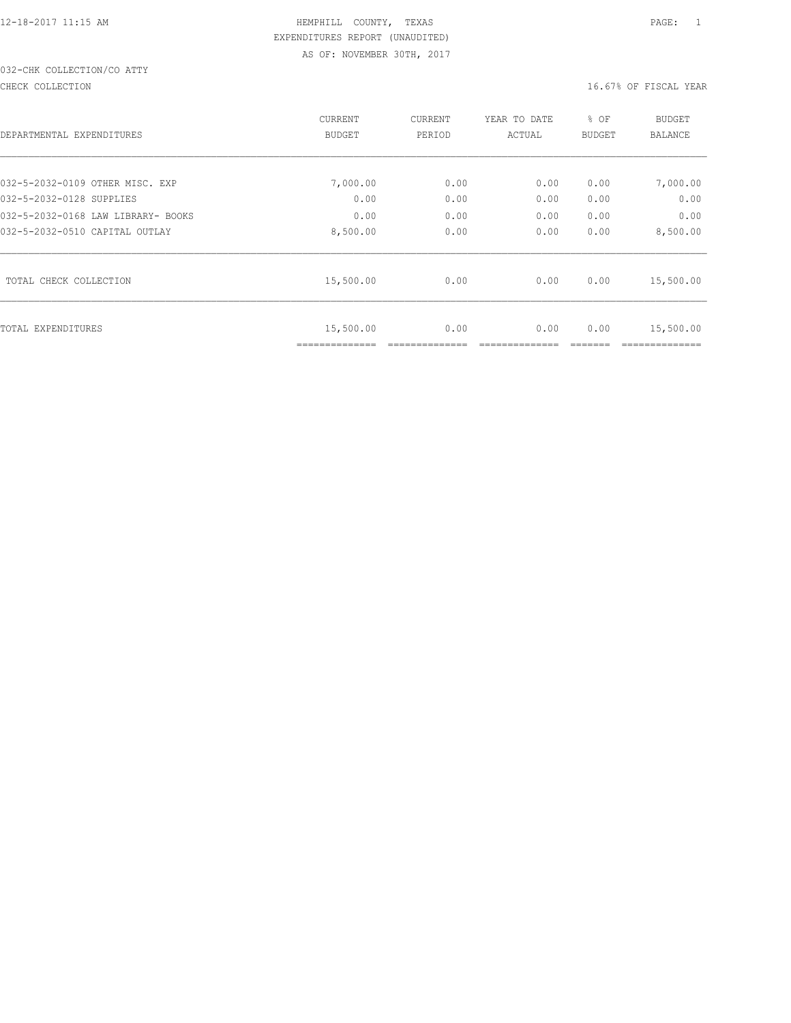## 032-CHK COLLECTION/CO ATTY

CHECK COLLECTION CHECK COLLECTION

| DEPARTMENTAL EXPENDITURES          | CURRENT<br>BUDGET | CURRENT<br>PERIOD | YEAR TO DATE<br>ACTUAL | % OF<br><b>BUDGET</b> | <b>BUDGET</b><br>BALANCE |
|------------------------------------|-------------------|-------------------|------------------------|-----------------------|--------------------------|
| 032-5-2032-0109 OTHER MISC. EXP    | 7,000.00          | 0.00              | 0.00                   | 0.00                  | 7,000.00                 |
| 032-5-2032-0128 SUPPLIES           | 0.00              | 0.00              | 0.00                   | 0.00                  | 0.00                     |
| 032-5-2032-0168 LAW LIBRARY- BOOKS | 0.00              | 0.00              | 0.00                   | 0.00                  | 0.00                     |
| 032-5-2032-0510 CAPITAL OUTLAY     | 8,500.00          | 0.00              | 0.00                   | 0.00                  | 8,500.00                 |
| TOTAL CHECK COLLECTION             | 15,500.00         | 0.00              | 0.00                   | 0.00                  | 15,500.00                |
| TOTAL EXPENDITURES                 | 15,500.00         | 0.00              | 0.00                   | 0.00                  | 15,500.00                |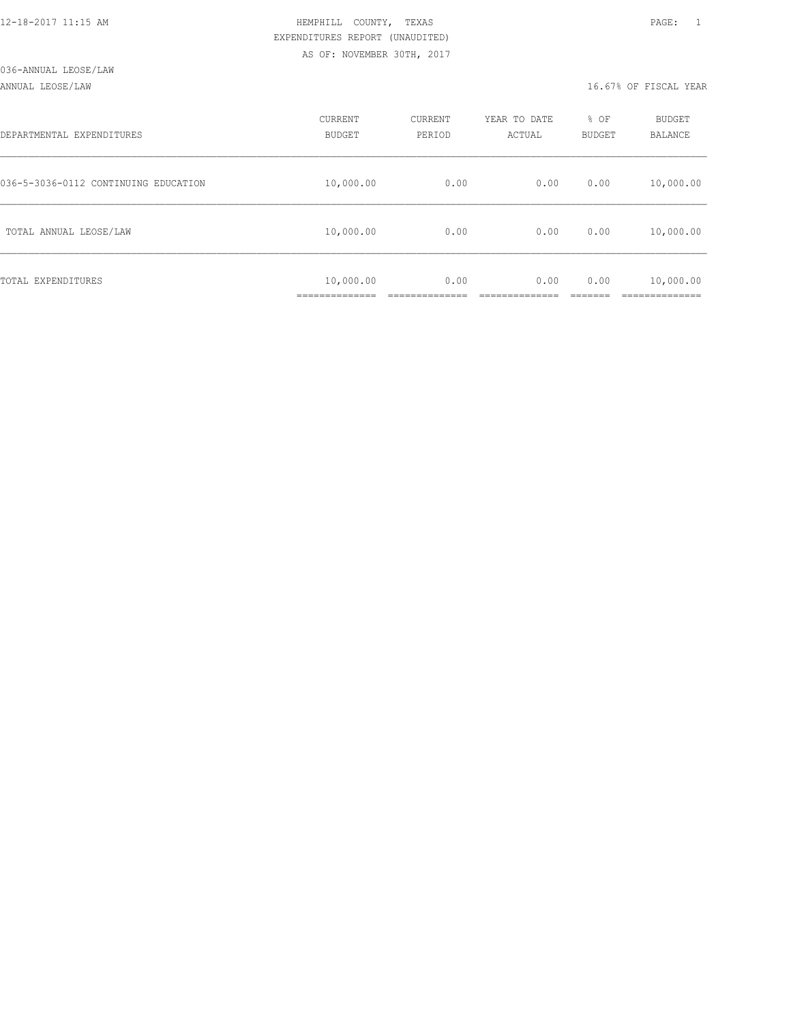#### ANNUAL LEOSE/LAW 16.67% OF FISCAL YEAR

| DEPARTMENTAL EXPENDITURES            | CURRENT<br><b>BUDGET</b>    | CURRENT<br>PERIOD | YEAR TO DATE<br>ACTUAL | % OF<br>BUDGET | BUDGET<br>BALANCE       |
|--------------------------------------|-----------------------------|-------------------|------------------------|----------------|-------------------------|
| 036-5-3036-0112 CONTINUING EDUCATION | 10,000.00                   | 0.00              | 0.00                   | 0.00           | 10,000.00               |
| TOTAL ANNUAL LEOSE/LAW               | 10,000.00                   | 0.00              | 0.00                   | 0.00           | 10,000.00               |
| TOTAL EXPENDITURES                   | 10,000.00<br>______________ | 0.00              | 0.00                   | 0.00           | 10,000.00<br>__________ |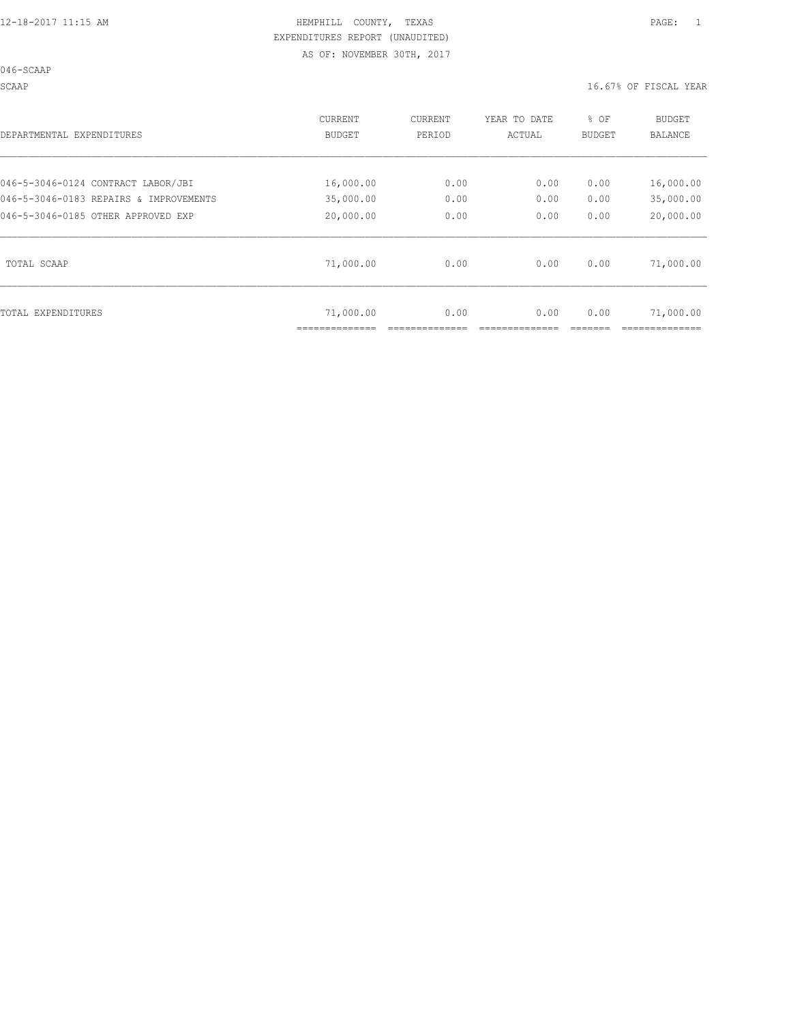#### SCAAP 16.67% OF FISCAL YEAR

| DEPARTMENTAL EXPENDITURES              | CURRENT<br>BUDGET | CURRENT<br>PERIOD | YEAR TO DATE<br>ACTUAL | % OF<br>BUDGET | BUDGET<br>BALANCE |
|----------------------------------------|-------------------|-------------------|------------------------|----------------|-------------------|
| 046-5-3046-0124 CONTRACT LABOR/JBI     | 16,000.00         | 0.00              | 0.00                   | 0.00           | 16,000.00         |
| 046-5-3046-0183 REPAIRS & IMPROVEMENTS | 35,000.00         | 0.00              | 0.00                   | 0.00           | 35,000.00         |
| 046-5-3046-0185 OTHER APPROVED EXP     | 20,000.00         | 0.00              | 0.00                   | 0.00           | 20,000.00         |
| TOTAL SCAAP                            | 71,000.00         | 0.00              | 0.00                   | 0.00           | 71,000.00         |
| TOTAL EXPENDITURES                     | 71,000.00         | 0.00              | 0.00                   | 0.00           | 71,000.00         |